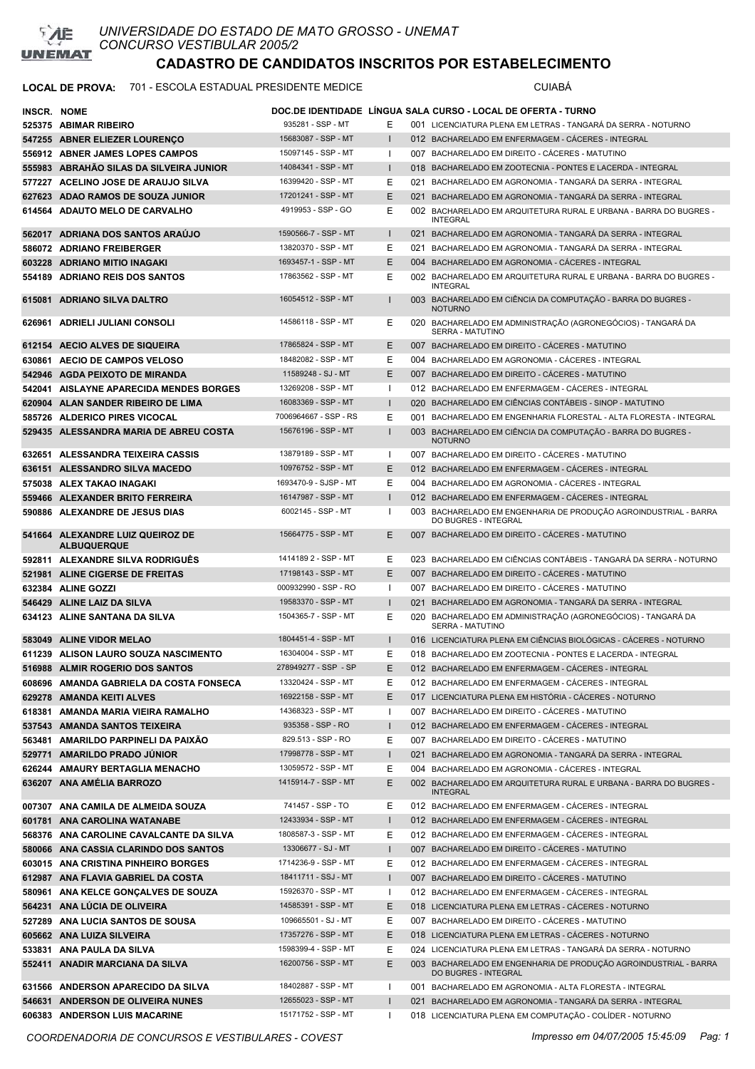

### LOCAL DE PROVA: 701 - ESCOLA ESTADUAL PRESIDENTE MEDICE **Antiquate State COMBED** CUIABÁ

| INSCR. NOME |                                                        |                       |              |     | DOC.DE IDENTIDADE LÍNGUA SALA CURSO - LOCAL DE OFERTA - TURNO                            |
|-------------|--------------------------------------------------------|-----------------------|--------------|-----|------------------------------------------------------------------------------------------|
|             | 525375 ABIMAR RIBEIRO                                  | 935281 - SSP - MT     | Ε            |     | 001 LICENCIATURA PLENA EM LETRAS - TANGARÀ DA SERRA - NOTURNO                            |
|             | 547255 ABNER ELIEZER LOURENCO                          | 15683087 - SSP - MT   | $\mathbf{I}$ |     | 012 BACHARELADO EM ENFERMAGEM - CACERES - INTEGRAL                                       |
|             | 556912 ABNER JAMES LOPES CAMPOS                        | 15097145 - SSP - MT   | -1           |     | 007 BACHARELADO EM DIREITO - CACERES - MATUTINO                                          |
|             | 555983 ABRAHÃO SILAS DA SILVEIRA JUNIOR                | 14084341 - SSP - MT   | $\mathsf{I}$ |     | 018 BACHARELADO EM ZOOTECNIA - PONTES E LACERDA - INTEGRAL                               |
|             | 577227 ACELINO JOSE DE ARAUJO SILVA                    | 16399420 - SSP - MT   | Ε            |     | 021 BACHARELADO EM AGRONOMIA - TANGARÁ DA SERRA - INTEGRAL                               |
|             | 627623 ADAO RAMOS DE SOUZA JUNIOR                      | 17201241 - SSP - MT   | E            | 021 | BACHARELADO EM AGRONOMIA - TANGARÁ DA SERRA - INTEGRAL                                   |
|             | 614564 ADAUTO MELO DE CARVALHO                         | 4919953 - SSP - GO    | Ε            |     | 002 BACHARELADO EM ARQUITETURA RURAL E URBANA - BARRA DO BUGRES -<br><b>INTEGRAL</b>     |
|             | 562017 ADRIANA DOS SANTOS ARAÚJO                       | 1590566-7 - SSP - MT  | $\mathbf{I}$ | 021 | BACHARELADO EM AGRONOMIA - TANGARÁ DA SERRA - INTEGRAL                                   |
|             | 586072 ADRIANO FREIBERGER                              | 13820370 - SSP - MT   | Ε            | 021 | BACHARELADO EM AGRONOMIA - TANGARÁ DA SERRA - INTEGRAL                                   |
|             | 603228 ADRIANO MITIO INAGAKI                           | 1693457-1 - SSP - MT  | E            |     | 004 BACHARELADO EM AGRONOMIA - CÁCERES - INTEGRAL                                        |
|             | 554189 ADRIANO REIS DOS SANTOS                         | 17863562 - SSP - MT   | Ε            |     | 002 BACHARELADO EM ARQUITETURA RURAL E URBANA - BARRA DO BUGRES -<br><b>INTEGRAL</b>     |
|             | 615081 ADRIANO SILVA DALTRO                            | 16054512 - SSP - MT   | $\mathbf{I}$ |     | 003 BACHARELADO EM CIÊNCIA DA COMPUTAÇÃO - BARRA DO BUGRES -<br><b>NOTURNO</b>           |
|             | 626961 ADRIELI JULIANI CONSOLI                         | 14586118 - SSP - MT   | Ε            |     | 020 BACHARELADO EM ADMINISTRAÇÃO (AGRONEGÓCIOS) - TANGARÁ DA<br><b>SERRA - MATUTINO</b>  |
|             | 612154 AECIO ALVES DE SIQUEIRA                         | 17865824 - SSP - MT   | E            |     | 007 BACHARELADO EM DIREITO - CACERES - MATUTINO                                          |
|             | 630861 AECIO DE CAMPOS VELOSO                          | 18482082 - SSP - MT   | Ε            |     | 004 BACHARELADO EM AGRONOMIA - CÁCERES - INTEGRAL                                        |
|             | 542946 AGDA PEIXOTO DE MIRANDA                         | 11589248 - SJ - MT    | E            |     | 007 BACHARELADO EM DIREITO - CACERES - MATUTINO                                          |
|             | 542041 AISLAYNE APARECIDA MENDES BORGES                | 13269208 - SSP - MT   | $\mathbf{I}$ |     | 012 BACHARELADO EM ENFERMAGEM - CÁCERES - INTEGRAL                                       |
|             | 620904 ALAN SANDER RIBEIRO DE LIMA                     | 16083369 - SSP - MT   | $\mathsf{I}$ |     | 020 BACHARELADO EM CIÊNCIAS CONTÁBEIS - SINOP - MATUTINO                                 |
|             | 585726 ALDERICO PIRES VICOCAL                          | 7006964667 - SSP - RS | Ε            |     | 001 BACHARELADO EM ENGENHARIA FLORESTAL - ALTA FLORESTA - INTEGRAL                       |
|             | 529435 ALESSANDRA MARIA DE ABREU COSTA                 | 15676196 - SSP - MT   | $\mathbf{I}$ |     | 003 BACHARELADO EM CIÊNCIA DA COMPUTAÇÃO - BARRA DO BUGRES -<br><b>NOTURNO</b>           |
|             | 632651 ALESSANDRA TEIXEIRA CASSIS                      | 13879189 - SSP - MT   | $\mathbf{I}$ | 007 | BACHARELADO EM DIREITO - CÁCERES - MATUTINO                                              |
|             | 636151 ALESSANDRO SILVA MACEDO                         | 10976752 - SSP - MT   | Ε            |     | 012 BACHARELADO EM ENFERMAGEM - CACERES - INTEGRAL                                       |
|             | 575038 ALEX TAKAO INAGAKI                              | 1693470-9 - SJSP - MT | Ε            |     | 004 BACHARELADO EM AGRONOMIA - CÁCERES - INTEGRAL                                        |
|             | 559466 ALEXANDER BRITO FERREIRA                        | 16147987 - SSP - MT   | $\mathbf{I}$ |     | 012 BACHARELADO EM ENFERMAGEM - CACERES - INTEGRAL                                       |
|             | 590886 ALEXANDRE DE JESUS DIAS                         | 6002145 - SSP - MT    | $\mathbf{I}$ |     | 003 BACHARELADO EM ENGENHARIA DE PRODUÇÃO AGROINDUSTRIAL - BARRA<br>DO BUGRES - INTEGRAL |
|             | 541664 ALEXANDRE LUIZ QUEIROZ DE<br><b>ALBUQUERQUE</b> | 15664775 - SSP - MT   | Ε            |     | 007 BACHARELADO EM DIREITO - CÁCERES - MATUTINO                                          |
|             | 592811 ALEXANDRE SILVA RODRIGUËS                       | 1414189 2 - SSP - MT  | Ε            |     | 023 BACHARELADO EM CIÊNCIAS CONTÁBEIS - TANGARÁ DA SERRA - NOTURNO                       |
|             | 521981 ALINE CIGERSE DE FREITAS                        | 17198143 - SSP - MT   | E            |     | 007 BACHARELADO EM DIREITO - CÁCERES - MATUTINO                                          |
|             | 632384 ALINE GOZZI                                     | 000932990 - SSP - RO  | $\mathbf{I}$ |     | 007 BACHARELADO EM DIREITO - CÁCERES - MATUTINO                                          |
|             | 546429 ALINE LAIZ DA SILVA                             | 19583370 - SSP - MT   | $\mathbf{I}$ |     | 021 BACHARELADO EM AGRONOMIA - TANGARÁ DA SERRA - INTEGRAL                               |
|             | 634123 ALINE SANTANA DA SILVA                          | 1504365-7 - SSP - MT  | Ε            |     | 020 BACHARELADO EM ADMINISTRAÇÃO (AGRONEGÓCIOS) - TANGARÁ DA<br>SERRA - MATUTINO         |
|             | 583049 ALINE VIDOR MELAO                               | 1804451-4 - SSP - MT  | $\mathbf{I}$ |     | 016 LICENCIATURA PLENA EM CIÊNCIAS BIOLÓGICAS - CÁCERES - NOTURNO                        |
|             | 611239 ALISON LAURO SOUZA NASCIMENTO                   | 16304004 - SSP - MT   | Ε            |     | 018 BACHARELADO EM ZOOTECNIA - PONTES E LACERDA - INTEGRAL                               |
|             | 516988 ALMIR ROGERIO DOS SANTOS                        | 278949277 - SSP - SP  | Ε            |     | 012 BACHARELADO EM ENFERMAGEM - CÁCERES - INTEGRAL                                       |
|             | 608696 AMANDA GABRIELA DA COSTA FONSECA                | 13320424 - SSP - MT   | Ε            |     | 012 BACHARELADO EM ENFERMAGEM - CÁCERES - INTEGRAL                                       |
|             | 629278 AMANDA KEITI ALVES                              | 16922158 - SSP - MT   | E            |     | 017 LICENCIATURA PLENA EM HISTÓRIA - CÁCERES - NOTURNO                                   |
|             | 618381 AMANDA MARIA VIEIRA RAMALHO                     | 14368323 - SSP - MT   | $\mathbf{I}$ |     | 007 BACHARELADO EM DIREITO - CÁCERES - MATUTINO                                          |
|             | 537543 AMANDA SANTOS TEIXEIRA                          | 935358 - SSP - RO     | $\mathsf{I}$ |     | 012 BACHARELADO EM ENFERMAGEM - CÁCERES - INTEGRAL                                       |
|             | 563481 AMARILDO PARPINELI DA PAIXÃO                    | 829.513 - SSP - RO    | Ε            |     | 007 BACHARELADO EM DIREITO - CÁCERES - MATUTINO                                          |
|             | 529771 AMARILDO PRADO JÚNIOR                           | 17998778 - SSP - MT   | $\mathsf{I}$ |     | 021 BACHARELADO EM AGRONOMIA - TANGARÁ DA SERRA - INTEGRAL                               |
|             | 626244 AMAURY BERTAGLIA MENACHO                        | 13059572 - SSP - MT   | Е            |     | 004 BACHARELADO EM AGRONOMIA - CÁCERES - INTEGRAL                                        |
|             | 636207 ANA AMÉLIA BARROZO                              | 1415914-7 - SSP - MT  | Ε            |     | 002 BACHARELADO EM ARQUITETURA RURAL E URBANA - BARRA DO BUGRES -<br><b>INTEGRAL</b>     |
|             | 007307 ANA CAMILA DE ALMEIDA SOUZA                     | 741457 - SSP - TO     | Ε            |     | 012 BACHARELADO EM ENFERMAGEM - CÁCERES - INTEGRAL                                       |
|             | 601781 ANA CAROLINA WATANABE                           | 12433934 - SSP - MT   | $\mathsf{I}$ |     | 012 BACHARELADO EM ENFERMAGEM - CÁCERES - INTEGRAL                                       |
|             | 568376 ANA CAROLINE CAVALCANTE DA SILVA                | 1808587-3 - SSP - MT  | Ε            |     | 012 BACHARELADO EM ENFERMAGEM - CÁCERES - INTEGRAL                                       |
|             | 580066 ANA CASSIA CLARINDO DOS SANTOS                  | 13306677 - SJ - MT    | L            |     | 007 BACHARELADO EM DIREITO - CÁCERES - MATUTINO                                          |
|             | 603015 ANA CRISTINA PINHEIRO BORGES                    | 1714236-9 - SSP - MT  | Е            |     | 012 BACHARELADO EM ENFERMAGEM - CÁCERES - INTEGRAL                                       |
|             | 612987 ANA FLAVIA GABRIEL DA COSTA                     | 18411711 - SSJ - MT   | L            |     | 007 BACHARELADO EM DIREITO - CÁCERES - MATUTINO                                          |
|             | 580961 ANA KELCE GONÇALVES DE SOUZA                    | 15926370 - SSP - MT   | $\mathbf{I}$ |     | 012 BACHARELADO EM ENFERMAGEM - CÁCERES - INTEGRAL                                       |
|             | 564231 ANA LUCIA DE OLIVEIRA                           | 14585391 - SSP - MT   | E            |     | 018 LICENCIATURA PLENA EM LETRAS - CÁCERES - NOTURNO                                     |
|             | 527289 ANA LUCIA SANTOS DE SOUSA                       | 109665501 - SJ - MT   | Е            |     | 007 BACHARELADO EM DIREITO - CÁCERES - MATUTINO                                          |
|             | 605662 ANA LUIZA SILVEIRA                              | 17357276 - SSP - MT   | Ε            |     | 018 LICENCIATURA PLENA EM LETRAS - CÁCERES - NOTURNO                                     |
|             | 533831 ANA PAULA DA SILVA                              | 1598399-4 - SSP - MT  | Ε            |     | 024 LICENCIATURA PLENA EM LETRAS - TANGARÁ DA SERRA - NOTURNO                            |
|             | 552411 ANADIR MARCIANA DA SILVA                        | 16200756 - SSP - MT   | Ε            |     | 003 BACHARELADO EM ENGENHARIA DE PRODUÇÃO AGROINDUSTRIAL - BARRA<br>DO BUGRES - INTEGRAL |
|             | 631566 ANDERSON APARECIDO DA SILVA                     | 18402887 - SSP - MT   | $\mathbf{I}$ |     | 001 BACHARELADO EM AGRONOMIA - ALTA FLORESTA - INTEGRAL                                  |
|             | 546631 ANDERSON DE OLIVEIRA NUNES                      | 12655023 - SSP - MT   | L            |     | 021 BACHARELADO EM AGRONOMIA - TANGARÁ DA SERRA - INTEGRAL                               |
|             | 606383 ANDERSON LUIS MACARINE                          | 15171752 - SSP - MT   | $\mathbf{I}$ |     | 018 LICENCIATURA PLENA EM COMPUTAÇÃO - COLÍDER - NOTURNO                                 |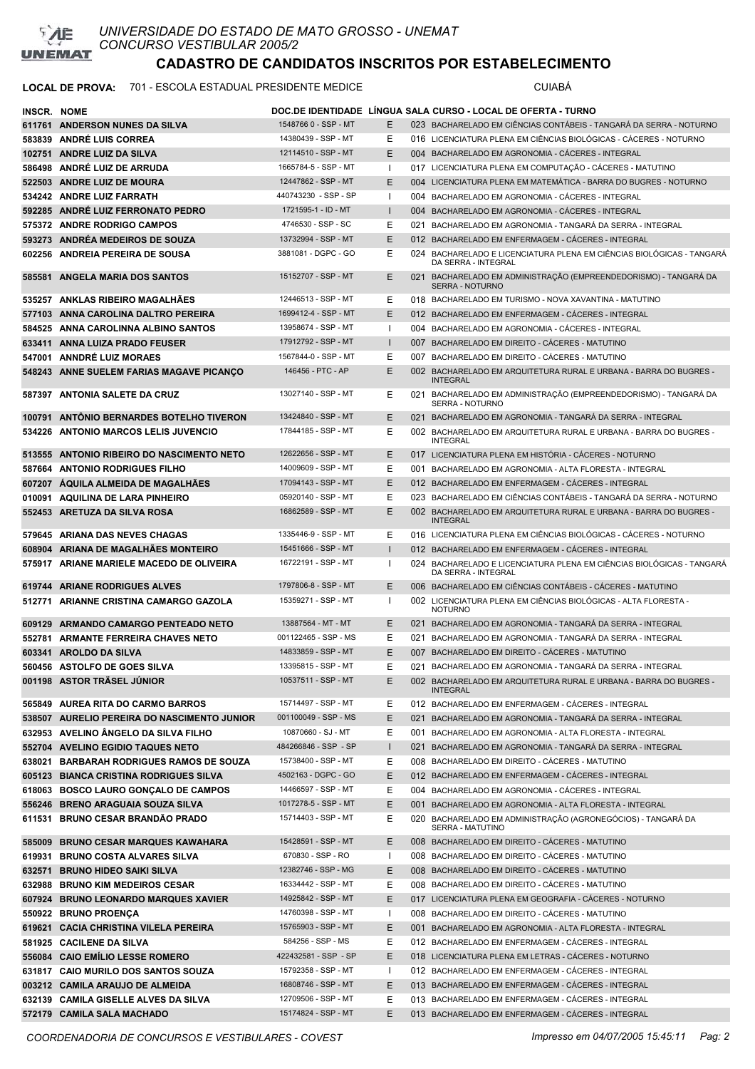

#### LOCAL DE PROVA: 701 - ESCOLA ESTADUAL PRESIDENTE MEDICE **Australia ESCOLA ESTADUAL PRESIDENTE** MEDICE

| <b>INSCR. NOME</b> |                                             |                                            |              |     | DOC.DE IDENTIDADE LINGUA SALA CURSO - LOCAL DE OFERTA - TURNO                                |
|--------------------|---------------------------------------------|--------------------------------------------|--------------|-----|----------------------------------------------------------------------------------------------|
|                    | 611761 ANDERSON NUNES DA SILVA              | 1548766 0 - SSP - MT                       | E.           |     | 023 BACHARELADO EM CIÊNCIAS CONTÁBEIS - TANGARÁ DA SERRA - NOTURNO                           |
|                    | 583839 ANDRÉ LUIS CORREA                    | 14380439 - SSP - MT                        | Е            |     | 016 LICENCIATURA PLENA EM CIÊNCIAS BIOLÓGICAS - CÁCERES - NOTURNO                            |
|                    | 102751 ANDRE LUIZ DA SILVA                  | 12114510 - SSP - MT                        | Е            |     | 004 BACHARELADO EM AGRONOMIA - CACERES - INTEGRAL                                            |
|                    | 586498 ANDRÉ LUIZ DE ARRUDA                 | 1665784-5 - SSP - MT                       | 1            |     | 017 LICENCIATURA PLENA EM COMPUTAÇÃO - CÁCERES - MATUTINO                                    |
|                    | 522503 ANDRE LUIZ DE MOURA                  | 12447862 - SSP - MT                        | E.           |     | 004 LICENCIATURA PLENA EM MATEMÁTICA - BARRA DO BUGRES - NOTURNO                             |
|                    | 534242 ANDRE LUIZ FARRATH                   | 440743230 - SSP - SP                       | 1            |     | 004 BACHARELADO EM AGRONOMIA - CACERES - INTEGRAL                                            |
|                    | 592285 ANDRÉ LUIZ FERRONATO PEDRO           | 1721595-1 - ID - MT                        |              |     | 004 BACHARELADO EM AGRONOMIA - CÁCERES - INTEGRAL                                            |
|                    | 575372 ANDRE RODRIGO CAMPOS                 | 4746530 - SSP - SC                         | Ε            |     | 021 BACHARELADO EM AGRONOMIA - TANGARÁ DA SERRA - INTEGRAL                                   |
|                    | 593273 ANDRÉA MEDEIROS DE SOUZA             | 13732994 - SSP - MT                        | E            |     | 012 BACHARELADO EM ENFERMAGEM - CÁCERES - INTEGRAL                                           |
|                    | 602256 ANDREIA PEREIRA DE SOUSA             | 3881081 - DGPC - GO                        | Е            |     | 024 BACHARELADO E LICENCIATURA PLENA EM CIÊNCIAS BIOLÓGICAS - TANGARÁ                        |
|                    |                                             |                                            |              |     | DA SERRA - INTEGRAL                                                                          |
|                    | 585581 ANGELA MARIA DOS SANTOS              | 15152707 - SSP - MT                        | E            |     | 021 BACHARELADO EM ADMINISTRAÇÃO (EMPREENDEDORISMO) - TANGARÁ DA<br><b>SERRA - NOTURNO</b>   |
|                    | 535257 ANKLAS RIBEIRO MAGALHÃES             | 12446513 - SSP - MT                        | Е            |     | 018 BACHARELADO EM TURISMO - NOVA XAVANTINA - MATUTINO                                       |
|                    | 577103 ANNA CAROLINA DALTRO PEREIRA         | 1699412-4 - SSP - MT                       | E            |     | 012 BACHARELADO EM ENFERMAGEM - CACERES - INTEGRAL                                           |
|                    | 584525 ANNA CAROLINNA ALBINO SANTOS         | 13958674 - SSP - MT                        | ı            |     | 004 BACHARELADO EM AGRONOMIA - CÁCERES - INTEGRAL                                            |
|                    | 633411 ANNA LUIZA PRADO FEUSER              | 17912792 - SSP - MT                        | $\mathbf{I}$ |     | 007 BACHARELADO EM DIREITO - CÁCERES - MATUTINO                                              |
|                    | 547001 ANNDRÉ LUIZ MORAES                   | 1567844-0 - SSP - MT                       | Е            |     | 007 BACHARELADO EM DIREITO - CACERES - MATUTINO                                              |
|                    | 548243 ANNE SUELEM FARIAS MAGAVE PICANCO    | 146456 - PTC - AP                          | Ε            |     | 002 BACHARELADO EM ARQUITETURA RURAL E URBANA - BARRA DO BUGRES -                            |
|                    |                                             |                                            |              |     | <b>INTEGRAL</b>                                                                              |
|                    | 587397 ANTONIA SALETE DA CRUZ               | 13027140 - SSP - MT                        | Е            |     | 021 BACHARELADO EM ADMINISTRAÇÃO (EMPREENDEDORISMO) - TANGARÁ DA<br><b>SERRA - NOTURNO</b>   |
|                    | 100791 ANTONIO BERNARDES BOTELHO TIVERON    | 13424840 - SSP - MT                        | E.           |     | 021 BACHARELADO EM AGRONOMIA - TANGARÁ DA SERRA - INTEGRAL                                   |
|                    | 534226 ANTONIO MARCOS LELIS JUVENCIO        | 17844185 - SSP - MT                        | E            |     | 002 BACHARELADO EM ARQUITETURA RURAL E URBANA - BARRA DO BUGRES -                            |
|                    |                                             |                                            |              |     | <b>INTEGRAL</b>                                                                              |
|                    | 513555 ANTONIO RIBEIRO DO NASCIMENTO NETO   | 12622656 - SSP - MT                        | E.           |     | 017 LICENCIATURA PLENA EM HISTÓRIA - CÁCERES - NOTURNO                                       |
|                    | 587664 ANTONIO RODRIGUES FILHO              | 14009609 - SSP - MT                        | Ε            |     | 001 BACHARELADO EM AGRONOMIA - ALTA FLORESTA - INTEGRAL                                      |
|                    | 607207 AQUILA ALMEIDA DE MAGALHAES          | 17094143 - SSP - MT                        | E.           |     | 012 BACHARELADO EM ENFERMAGEM - CACERES - INTEGRAL                                           |
|                    | 010091 AQUILINA DE LARA PINHEIRO            | 05920140 - SSP - MT<br>16862589 - SSP - MT | Ε            |     | 023 BACHARELADO EM CIÊNCIAS CONTÁBEIS - TANGARÁ DA SERRA - NOTURNO                           |
|                    | 552453 ARETUZA DA SILVA ROSA                |                                            | Е            |     | 002 BACHARELADO EM ARQUITETURA RURAL E URBANA - BARRA DO BUGRES -<br><b>INTEGRAL</b>         |
|                    | 579645 ARIANA DAS NEVES CHAGAS              | 1335446-9 - SSP - MT                       | Е            |     | 016 LICENCIATURA PLENA EM CIÊNCIAS BIOLÓGICAS - CÁCERES - NOTURNO                            |
|                    | 608904 ARIANA DE MAGALHAES MONTEIRO         | 15451666 - SSP - MT                        | I.           |     | 012 BACHARELADO EM ENFERMAGEM - CACERES - INTEGRAL                                           |
|                    | 575917 ARIANE MARIELE MACEDO DE OLIVEIRA    | 16722191 - SSP - MT                        | ı            |     | 024 BACHARELADO E LICENCIATURA PLENA EM CIÊNCIAS BIOLÓGICAS - TANGARÁ<br>DA SERRA - INTEGRAL |
|                    | 619744 ARIANE RODRIGUES ALVES               | 1797806-8 - SSP - MT                       | E.           |     | 006 BACHARELADO EM CIÊNCIAS CONTÁBEIS - CÁCERES - MATUTINO                                   |
|                    | 512771 ARIANNE CRISTINA CAMARGO GAZOLA      | 15359271 - SSP - MT                        | J.           |     | 002 LICENCIATURA PLENA EM CIÊNCIAS BIOLÓGICAS - ALTA FLORESTA -                              |
|                    |                                             |                                            |              |     | <b>NOTURNO</b>                                                                               |
|                    | 609129 ARMANDO CAMARGO PENTEADO NETO        | 13887564 - MT - MT                         | E.           |     | 021 BACHARELADO EM AGRONOMIA - TANGARÁ DA SERRA - INTEGRAL                                   |
|                    | 552781 ARMANTE FERREIRA CHAVES NETO         | 001122465 - SSP - MS                       | Ε            |     | 021 BACHARELADO EM AGRONOMIA - TANGARÁ DA SERRA - INTEGRAL                                   |
|                    | 603341 AROLDO DA SILVA                      | 14833859 - SSP - MT<br>13395815 - SSP - MT | E            |     | 007 BACHARELADO EM DIREITO - CÁCERES - MATUTINO                                              |
|                    | 560456 ASTOLFO DE GOES SILVA                | 10537511 - SSP - MT                        | Е            |     | 021 BACHARELADO EM AGRONOMIA - TANGARÁ DA SERRA - INTEGRAL                                   |
|                    | 001198 ASTOR TRÄSEL JUNIOR                  |                                            | Е            |     | 002 BACHARELADO EM ARQUITETURA RURAL E URBANA - BARRA DO BUGRES -<br><b>INTEGRAL</b>         |
|                    | 565849 AUREA RITA DO CARMO BARROS           | 15714497 - SSP - MT                        | Е.           |     | 012 BACHARELADO EM ENFERMAGEM - CÁCERES - INTEGRAL                                           |
|                    | 538507 AURELIO PEREIRA DO NASCIMENTO JUNIOR | 001100049 - SSP - MS                       | E.           |     | 021 BACHARELADO EM AGRONOMIA - TANGARÁ DA SERRA - INTEGRAL                                   |
|                    | 632953 AVELINO ÂNGELO DA SILVA FILHO        | 10870660 - SJ - MT                         | Е            | 001 | BACHARELADO EM AGRONOMIA - ALTA FLORESTA - INTEGRAL                                          |
|                    | 552704 AVELINO EGIDIO TAQUES NETO           | 484266846 - SSP - SP                       | $\mathbf{I}$ |     | 021 BACHARELADO EM AGRONOMIA - TANGARÁ DA SERRA - INTEGRAL                                   |
|                    | 638021 BARBARAH RODRIGUES RAMOS DE SOUZA    | 15738400 - SSP - MT                        | Е            |     | 008 BACHARELADO EM DIREITO - CÁCERES - MATUTINO                                              |
|                    | 605123 BIANCA CRISTINA RODRIGUES SILVA      | 4502163 - DGPC - GO                        | Ε            |     | 012 BACHARELADO EM ENFERMAGEM - CÁCERES - INTEGRAL                                           |
|                    | 618063 BOSCO LAURO GONÇALO DE CAMPOS        | 14466597 - SSP - MT                        | Е            |     | 004 BACHARELADO EM AGRONOMIA - CÁCERES - INTEGRAL                                            |
|                    | 556246 BRENO ARAGUAIA SOUZA SILVA           | 1017278-5 - SSP - MT                       | E            |     | 001 BACHARELADO EM AGRONOMIA - ALTA FLORESTA - INTEGRAL                                      |
|                    | 611531 BRUNO CESAR BRANDÃO PRADO            | 15714403 - SSP - MT                        | Е            |     | 020 BACHARELADO EM ADMINISTRAÇÃO (AGRONEGÓCIOS) - TANGARÁ DA<br>SERRA - MATUTINO             |
|                    | 585009 BRUNO CESAR MARQUES KAWAHARA         | 15428591 - SSP - MT                        | E            |     | 008 BACHARELADO EM DIREITO - CÁCERES - MATUTINO                                              |
|                    | 619931 BRUNO COSTA ALVARES SILVA            | 670830 - SSP - RO                          | $\mathbf{I}$ |     | 008 BACHARELADO EM DIREITO - CÁCERES - MATUTINO                                              |
|                    | 632571 BRUNO HIDEO SAIKI SILVA              | 12382746 - SSP - MG                        | Е            |     | 008 BACHARELADO EM DIREITO - CÁCERES - MATUTINO                                              |
|                    | 632988 BRUNO KIM MEDEIROS CESAR             | 16334442 - SSP - MT                        | Е            |     | 008 BACHARELADO EM DIREITO - CÁCERES - MATUTINO                                              |
|                    | 607924 BRUNO LEONARDO MARQUES XAVIER        | 14925842 - SSP - MT                        | E            |     | 017 LICENCIATURA PLENA EM GEOGRAFIA - CÁCERES - NOTURNO                                      |
|                    | 550922 BRUNO PROENÇA                        | 14760398 - SSP - MT                        | ı            |     | 008 BACHARELADO EM DIREITO - CÁCERES - MATUTINO                                              |
|                    | 619621 CACIA CHRISTINA VILELA PEREIRA       | 15765903 - SSP - MT                        | E            |     | 001 BACHARELADO EM AGRONOMIA - ALTA FLORESTA - INTEGRAL                                      |
|                    | 581925 CACILENE DA SILVA                    | 584256 - SSP - MS                          | Е            |     | 012 BACHARELADO EM ENFERMAGEM - CÁCERES - INTEGRAL                                           |
|                    | 556084 CAIO EMILIO LESSE ROMERO             | 422432581 - SSP - SP                       | E            |     | 018 LICENCIATURA PLENA EM LETRAS - CÁCERES - NOTURNO                                         |
|                    | 631817 CAIO MURILO DOS SANTOS SOUZA         | 15792358 - SSP - MT                        | I.           |     | 012 BACHARELADO EM ENFERMAGEM - CÁCERES - INTEGRAL                                           |
|                    | 003212 CAMILA ARAUJO DE ALMEIDA             | 16808746 - SSP - MT                        | E            |     | 013 BACHARELADO EM ENFERMAGEM - CÁCERES - INTEGRAL                                           |
|                    | 632139 CAMILA GISELLE ALVES DA SILVA        | 12709506 - SSP - MT                        | Ε            |     | 013 BACHARELADO EM ENFERMAGEM - CÁCERES - INTEGRAL                                           |
|                    | 572179 CAMILA SALA MACHADO                  | 15174824 - SSP - MT                        | E            |     | 013 BACHARELADO EM ENFERMAGEM - CÁCERES - INTEGRAL                                           |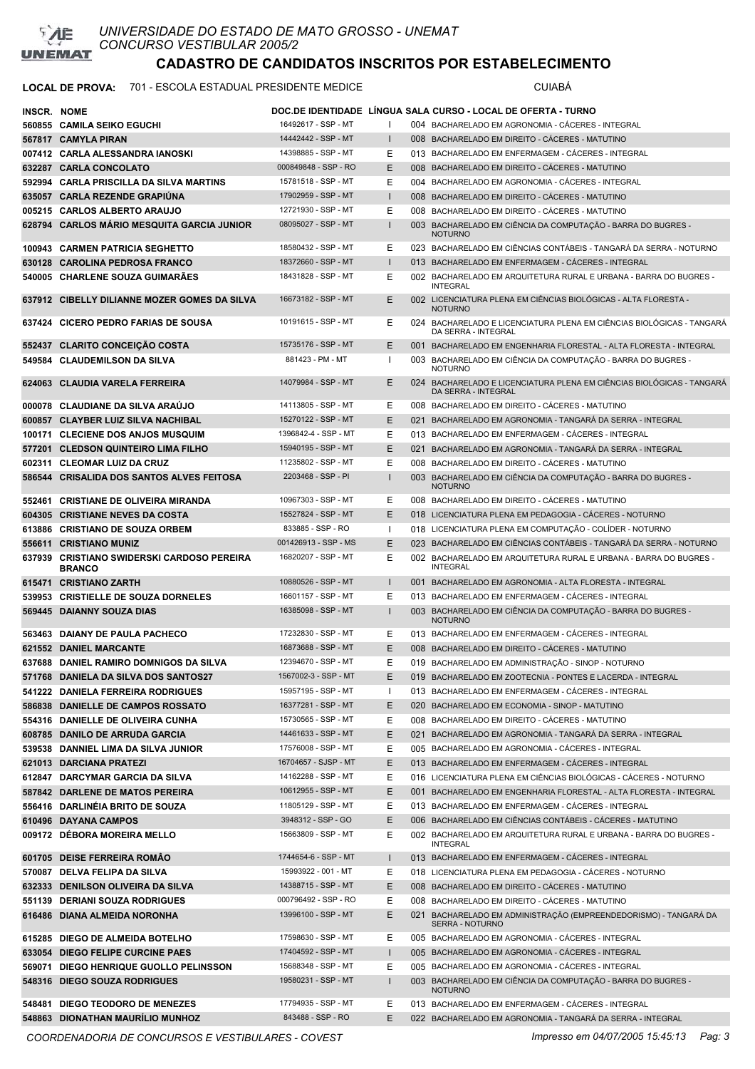

### LOCAL DE PROVA: 701 - ESCOLA ESTADUAL PRESIDENTE MEDICE **Antiquate State COMBENTE**

| <b>INSCR. NOME</b> | 560855 CAMILA SEIKO EGUCHI                                              | 16492617 - SSP - MT  |              | DOC.DE IDENTIDADE LINGUA SALA CURSO - LOCAL DE OFERTA - TURNO<br>004 BACHARELADO EM AGRONOMIA - CACERES - INTEGRAL |
|--------------------|-------------------------------------------------------------------------|----------------------|--------------|--------------------------------------------------------------------------------------------------------------------|
|                    | 567817 CAMYLA PIRAN                                                     | 14442442 - SSP - MT  | $\mathbf{I}$ | 008 BACHARELADO EM DIREITO - CÁCERES - MATUTINO                                                                    |
|                    | 007412 CARLA ALESSANDRA IANOSKI                                         | 14398885 - SSP - MT  | Ε            | 013 BACHARELADO EM ENFERMAGEM - CÁCERES - INTEGRAL                                                                 |
|                    | 632287 CARLA CONCOLATO                                                  | 000849848 - SSP - RO | E            | 008 BACHARELADO EM DIREITO - CÁCERES - MATUTINO                                                                    |
|                    | 592994 CARLA PRISCILLA DA SILVA MARTINS                                 | 15781518 - SSP - MT  | Ε            | 004 BACHARELADO EM AGRONOMIA - CÁCERES - INTEGRAL                                                                  |
|                    | 635057 CARLA REZENDE GRAPIUNA                                           | 17902959 - SSP - MT  |              | 008 BACHARELADO EM DIREITO - CÁCERES - MATUTINO                                                                    |
|                    | 005215 CARLOS ALBERTO ARAUJO                                            | 12721930 - SSP - MT  | Ε            | 008 BACHARELADO EM DIREITO - CÁCERES - MATUTINO                                                                    |
|                    | 628794 CARLOS MARIO MESQUITA GARCIA JUNIOR                              | 08095027 - SSP - MT  | ı            | 003 BACHARELADO EM CIÊNCIA DA COMPUTAÇÃO - BARRA DO BUGRES -                                                       |
|                    |                                                                         |                      |              | <b>NOTURNO</b>                                                                                                     |
|                    | 100943 CARMEN PATRICIA SEGHETTO                                         | 18580432 - SSP - MT  | Е            | 023 BACHARELADO EM CIÊNCIAS CONTÁBEIS - TANGARÁ DA SERRA - NOTURNO                                                 |
|                    | 630128 CAROLINA PEDROSA FRANCO                                          | 18372660 - SSP - MT  | L            | 013 BACHARELADO EM ENFERMAGEM - CACERES - INTEGRAL                                                                 |
|                    | 540005 CHARLENE SOUZA GUIMARÃES                                         | 18431828 - SSP - MT  | Ε            | 002 BACHARELADO EM ARQUITETURA RURAL E URBANA - BARRA DO BUGRES -<br><b>INTEGRAL</b>                               |
|                    | 637912 CIBELLY DILIANNE MOZER GOMES DA SILVA                            | 16673182 - SSP - MT  | E            | 002 LICENCIATURA PLENA EM CIÊNCIAS BIOLÓGICAS - ALTA FLORESTA -                                                    |
|                    |                                                                         |                      |              | <b>NOTURNO</b>                                                                                                     |
|                    | 637424 CICERO PEDRO FARIAS DE SOUSA                                     | 10191615 - SSP - MT  | Е            | 024 BACHARELADO E LICENCIATURA PLENA EM CIÊNCIAS BIOLÓGICAS - TANGARÁ                                              |
|                    | 552437 CLARITO CONCEIÇÃO COSTA                                          | 15735176 - SSP - MT  | E            | DA SERRA - INTEGRAL<br>001 BACHARELADO EM ENGENHARIA FLORESTAL - ALTA FLORESTA - INTEGRAL                          |
|                    | 549584 CLAUDEMILSON DA SILVA                                            | 881423 - PM - MT     | J.           | 003 BACHARELADO EM CIÊNCIA DA COMPUTAÇÃO - BARRA DO BUGRES -                                                       |
|                    |                                                                         |                      |              | <b>NOTURNO</b>                                                                                                     |
|                    | 624063 CLAUDIA VARELA FERREIRA                                          | 14079984 - SSP - MT  | E            | 024 BACHARELADO E LICENCIATURA PLENA EM CIÊNCIAS BIOLÓGICAS - TANGARA                                              |
|                    |                                                                         | 14113805 - SSP - MT  |              | <b>DA SERRA - INTEGRAL</b><br>008 BACHARELADO EM DIREITO - CÁCERES - MATUTINO                                      |
|                    | 000078 CLAUDIANE DA SILVA ARAÚJO                                        | 15270122 - SSP - MT  | Е<br>E       |                                                                                                                    |
|                    | 600857 CLAYBER LUIZ SILVA NACHIBAL<br>100171 CLECIENE DOS ANJOS MUSQUIM | 1396842-4 - SSP - MT | Ε            | 021 BACHARELADO EM AGRONOMIA - TANGARÁ DA SERRA - INTEGRAL<br>013 BACHARELADO EM ENFERMAGEM - CÁCERES - INTEGRAL   |
|                    | 577201 CLEDSON QUINTEIRO LIMA FILHO                                     | 15940195 - SSP - MT  | E            | 021 BACHARELADO EM AGRONOMIA - TANGARÁ DA SERRA - INTEGRAL                                                         |
|                    | 602311 CLEOMAR LUIZ DA CRUZ                                             | 11235802 - SSP - MT  | Ε            | 008 BACHARELADO EM DIREITO - CÁCERES - MATUTINO                                                                    |
|                    | 586544 CRISALIDA DOS SANTOS ALVES FEITOSA                               | 2203468 - SSP - PI   |              | 003 BACHARELADO EM CIÊNCIA DA COMPUTAÇÃO - BARRA DO BUGRES -                                                       |
|                    |                                                                         |                      |              | <b>NOTURNO</b>                                                                                                     |
|                    | 552461 CRISTIANE DE OLIVEIRA MIRANDA                                    | 10967303 - SSP - MT  | Е            | 008 BACHARELADO EM DIREITO - CACERES - MATUTINO                                                                    |
|                    | 604305 CRISTIANE NEVES DA COSTA                                         | 15527824 - SSP - MT  | E            | 018 LICENCIATURA PLENA EM PEDAGOGIA - CACERES - NOTURNO                                                            |
|                    | 613886 CRISTIANO DE SOUZA ORBEM                                         | 833885 - SSP - RO    |              | 018 LICENCIATURA PLENA EM COMPUTAÇÃO - COLÍDER - NOTURNO                                                           |
|                    | 556611 CRISTIANO MUNIZ                                                  | 001426913 - SSP - MS | E            | 023 BACHARELADO EM CIÊNCIAS CONTÁBEIS - TANGARÁ DA SERRA - NOTURNO                                                 |
|                    | 637939 CRISTIANO SWIDERSKI CARDOSO PEREIRA<br><b>BRANCO</b>             | 16820207 - SSP - MT  | Е            | 002 BACHARELADO EM ARQUITETURA RURAL E URBANA - BARRA DO BUGRES -<br><b>INTEGRAL</b>                               |
|                    | 615471 CRISTIANO ZARTH                                                  | 10880526 - SSP - MT  |              | 001 BACHARELADO EM AGRONOMIA - ALTA FLORESTA - INTEGRAL                                                            |
|                    | 539953 CRISTIELLE DE SOUZA DORNELES                                     | 16601157 - SSP - MT  | Е            | 013 BACHARELADO EM ENFERMAGEM - CÁCERES - INTEGRAL                                                                 |
|                    | 569445 DAIANNY SOUZA DIAS                                               | 16385098 - SSP - MT  |              | 003 BACHARELADO EM CIÊNCIA DA COMPUTAÇÃO - BARRA DO BUGRES -                                                       |
|                    | 563463 DAIANY DE PAULA PACHECO                                          | 17232830 - SSP - MT  | Е            | <b>NOTURNO</b><br>013 BACHARELADO EM ENFERMAGEM - CÁCERES - INTEGRAL                                               |
|                    | 621552 DANIEL MARCANTE                                                  | 16873688 - SSP - MT  | E            | 008 BACHARELADO EM DIREITO - CACERES - MATUTINO                                                                    |
|                    | 637688 DANIEL RAMIRO DOMNIGOS DA SILVA                                  | 12394670 - SSP - MT  | Е            | 019 BACHARELADO EM ADMINISTRAÇÃO - SINOP - NOTURNO                                                                 |
|                    | 571768 DANIELA DA SILVA DOS SANTOS27                                    | 1567002-3 - SSP - MT | E            | 019 BACHARELADO EM ZOOTECNIA - PONTES E LACERDA - INTEGRAL                                                         |
|                    | 541222 DANIELA FERREIRA RODRIGUES                                       | 15957195 - SSP - MT  |              | 013 BACHARELADO EM ENFERMAGEM - CÁCERES - INTEGRAL                                                                 |
|                    | 586838 DANIELLE DE CAMPOS ROSSATO                                       | 16377281 - SSP - MT  | Ε            | 020 BACHARELADO EM ECONOMIA - SINOP - MATUTINO                                                                     |
|                    | 554316 DANIELLE DE OLIVEIRA CUNHA                                       | 15730565 - SSP - MT  | Е            | 008 BACHARELADO EM DIREITO - CÁCERES - MATUTINO                                                                    |
|                    | 608785 DANILO DE ARRUDA GARCIA                                          | 14461633 - SSP - MT  | Ε            | 021 BACHARELADO EM AGRONOMIA - TANGARÁ DA SERRA - INTEGRAL                                                         |
|                    | 539538 DANNIEL LIMA DA SILVA JUNIOR                                     | 17576008 - SSP - MT  | Е            | 005 BACHARELADO EM AGRONOMIA - CÁCERES - INTEGRAL                                                                  |
|                    | 621013 DARCIANA PRATEZI                                                 | 16704657 - SJSP - MT | Е            | 013 BACHARELADO EM ENFERMAGEM - CÁCERES - INTEGRAL                                                                 |
|                    | 612847 DARCYMAR GARCIA DA SILVA                                         | 14162288 - SSP - MT  | Е            | 016 LICENCIATURA PLENA EM CIÊNCIAS BIOLÓGICAS - CÁCERES - NOTURNO                                                  |
|                    | 587842 DARLENE DE MATOS PEREIRA                                         | 10612955 - SSP - MT  | Е            | 001 BACHARELADO EM ENGENHARIA FLORESTAL - ALTA FLORESTA - INTEGRAL                                                 |
|                    | 556416 DARLINÉIA BRITO DE SOUZA                                         | 11805129 - SSP - MT  | Е            | 013 BACHARELADO EM ENFERMAGEM - CÁCERES - INTEGRAL                                                                 |
|                    | 610496 DAYANA CAMPOS                                                    | 3948312 - SSP - GO   | E            | 006 BACHARELADO EM CIÊNCIAS CONTÁBEIS - CÁCERES - MATUTINO                                                         |
|                    | 009172 DÉBORA MOREIRA MELLO                                             | 15663809 - SSP - MT  | Е            | 002 BACHARELADO EM ARQUITETURA RURAL E URBANA - BARRA DO BUGRES -<br><b>INTEGRAL</b>                               |
|                    | 601705 DEISE FERREIRA ROMÃO                                             | 1744654-6 - SSP - MT | L            | 013 BACHARELADO EM ENFERMAGEM - CÁCERES - INTEGRAL                                                                 |
|                    | 570087 DELVA FELIPA DA SILVA                                            | 15993922 - 001 - MT  | Ε            | 018 LICENCIATURA PLENA EM PEDAGOGIA - CÁCERES - NOTURNO                                                            |
|                    | 632333 DENILSON OLIVEIRA DA SILVA                                       | 14388715 - SSP - MT  | Е            | 008 BACHARELADO EM DIREITO - CÁCERES - MATUTINO                                                                    |
|                    | 551139 DERIANI SOUZA RODRIGUES                                          | 000796492 - SSP - RO | Ε            | 008 BACHARELADO EM DIREITO - CÁCERES - MATUTINO                                                                    |
|                    | 616486 DIANA ALMEIDA NORONHA                                            | 13996100 - SSP - MT  | E            | 021 BACHARELADO EM ADMINISTRAÇÃO (EMPREENDEDORISMO) - TANGARÁ DA<br>SERRA - NOTURNO                                |
|                    | 615285 DIEGO DE ALMEIDA BOTELHO                                         | 17598630 - SSP - MT  | Е            | 005 BACHARELADO EM AGRONOMIA - CÁCERES - INTEGRAL                                                                  |
|                    | 633054 DIEGO FELIPE CURCINE PAES                                        | 17404592 - SSP - MT  | L            | 005 BACHARELADO EM AGRONOMIA - CÁCERES - INTEGRAL                                                                  |
|                    | 569071 DIEGO HENRIQUE GUOLLO PELINSSON                                  | 15688348 - SSP - MT  | Е            | 005 BACHARELADO EM AGRONOMIA - CÁCERES - INTEGRAL                                                                  |
|                    | 548316 DIEGO SOUZA RODRIGUES                                            | 19580231 - SSP - MT  |              | 003 BACHARELADO EM CIÊNCIA DA COMPUTAÇÃO - BARRA DO BUGRES -                                                       |
|                    |                                                                         |                      |              | <b>NOTURNO</b>                                                                                                     |
|                    | 548481 DIEGO TEODORO DE MENEZES                                         | 17794935 - SSP - MT  | Е            | 013 BACHARELADO EM ENFERMAGEM - CÁCERES - INTEGRAL                                                                 |
|                    | 548863 DIONATHAN MAURILIO MUNHOZ                                        | 843488 - SSP - RO    | E            | 022 BACHARELADO EM AGRONOMIA - TANGARÁ DA SERRA - INTEGRAL                                                         |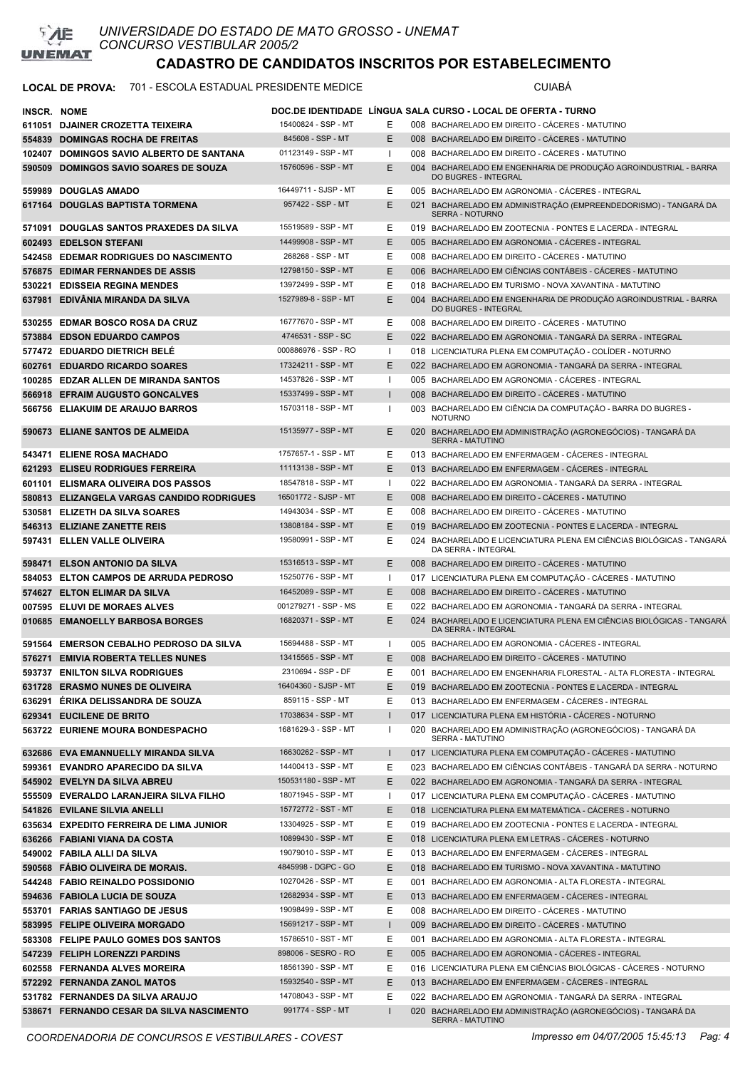

#### **LOCAL DE PROVA:** 701 - ESCOLA ESTADUAL PRESIDENTE MEDICE CUIABÁ

| INSCR. NOME |                                                                 |                                            |              | DOC.DE IDENTIDADE LINGUA SALA CURSO - LOCAL DE OFERTA - TURNO                                                                                   |
|-------------|-----------------------------------------------------------------|--------------------------------------------|--------------|-------------------------------------------------------------------------------------------------------------------------------------------------|
|             | 611051 DJAINER CROZETTA TEIXEIRA                                | 15400824 - SSP - MT                        | Е            | 008 BACHARELADO EM DIREITO - CACERES - MATUTINO                                                                                                 |
|             | 554839 DOMINGAS ROCHA DE FREITAS                                | 845608 - SSP - MT                          | Е            | 008 BACHARELADO EM DIREITO - CÁCERES - MATUTINO                                                                                                 |
|             | 102407 DOMINGOS SAVIO ALBERTO DE SANTANA                        | 01123149 - SSP - MT                        | $\mathbf{I}$ | 008 BACHARELADO EM DIREITO - CÁCERES - MATUTINO                                                                                                 |
| 590509      | <b>DOMINGOS SAVIO SOARES DE SOUZA</b>                           | 15760596 - SSP - MT                        | E.           | 004 BACHARELADO EM ENGENHARIA DE PRODUÇÃO AGROINDUSTRIAL - BARRA<br><b>DO BUGRES - INTEGRAL</b>                                                 |
|             | 559989 DOUGLAS AMADO                                            | 16449711 - SJSP - MT                       | Е            | 005 BACHARELADO EM AGRONOMIA - CÁCERES - INTEGRAL                                                                                               |
|             | 617164 DOUGLAS BAPTISTA TORMENA                                 | 957422 - SSP - MT                          | E            | 021 BACHARELADO EM ADMINISTRAÇÃO (EMPREENDEDORISMO) - TANGARÁ DA<br><b>SERRA - NOTURNO</b>                                                      |
|             | 571091 DOUGLAS SANTOS PRAXEDES DA SILVA                         | 15519589 - SSP - MT                        | E.           | 019 BACHARELADO EM ZOOTECNIA - PONTES E LACERDA - INTEGRAL                                                                                      |
|             | 602493 EDELSON STEFANI                                          | 14499908 - SSP - MT                        | E.           | 005 BACHARELADO EM AGRONOMIA - CACERES - INTEGRAL                                                                                               |
|             | 542458 EDEMAR RODRIGUES DO NASCIMENTO                           | 268268 - SSP - MT                          | Е            | 008 BACHARELADO EM DIREITO - CÁCERES - MATUTINO                                                                                                 |
|             | 576875 EDIMAR FERNANDES DE ASSIS                                | 12798150 - SSP - MT                        | E.           | 006 BACHARELADO EM CIÊNCIAS CONTÁBEIS - CÁCERES - MATUTINO                                                                                      |
|             | 530221 EDISSEIA REGINA MENDES                                   | 13972499 - SSP - MT                        | Е            | 018 BACHARELADO EM TURISMO - NOVA XAVANTINA - MATUTINO                                                                                          |
| 637981      | EDIVANIA MIRANDA DA SILVA                                       | 1527989-8 - SSP - MT                       | E.           | 004 BACHARELADO EM ENGENHARIA DE PRODUÇÃO AGROINDUSTRIAL - BARRA<br>DO BUGRES - INTEGRAL                                                        |
|             | 530255 EDMAR BOSCO ROSA DA CRUZ                                 | 16777670 - SSP - MT                        | E.           | 008 BACHARELADO EM DIREITO - CÁCERES - MATUTINO                                                                                                 |
|             | 573884 EDSON EDUARDO CAMPOS                                     | 4746531 - SSP - SC                         | E            | 022 BACHARELADO EM AGRONOMIA - TANGARÁ DA SERRA - INTEGRAL                                                                                      |
|             | 577472 EDUARDO DIETRICH BELE                                    | 000886976 - SSP - RO                       | Ι.           | 018 LICENCIATURA PLENA EM COMPUTAÇÃO - COLÍDER - NOTURNO                                                                                        |
|             | 602761 EDUARDO RICARDO SOARES                                   | 17324211 - SSP - MT                        | E.           | 022 BACHARELADO EM AGRONOMIA - TANGARÁ DA SERRA - INTEGRAL                                                                                      |
|             | 100285 EDZAR ALLEN DE MIRANDA SANTOS                            | 14537826 - SSP - MT                        | -1           | 005 BACHARELADO EM AGRONOMIA - CÁCERES - INTEGRAL                                                                                               |
|             | 566918 EFRAIM AUGUSTO GONCALVES                                 | 15337499 - SSP - MT                        |              | 008 BACHARELADO EM DIREITO - CÁCERES - MATUTINO                                                                                                 |
|             | 566756 ELIAKUIM DE ARAUJO BARROS                                | 15703118 - SSP - MT                        | H            | 003 BACHARELADO EM CIÊNCIA DA COMPUTAÇÃO - BARRA DO BUGRES -<br><b>NOTURNO</b>                                                                  |
|             | 590673 ELIANE SANTOS DE ALMEIDA                                 | 15135977 - SSP - MT                        | E.           | 020 BACHARELADO EM ADMINISTRAÇÃO (AGRONEGÓCIOS) - TANGARÁ DA<br>SERRA - MATUTINO                                                                |
|             | 543471 ELIENE ROSA MACHADO                                      | 1757657-1 - SSP - MT                       | Е            | 013 BACHARELADO EM ENFERMAGEM - CÁCERES - INTEGRAL                                                                                              |
|             | 621293 ELISEU RODRIGUES FERREIRA                                | 11113138 - SSP - MT                        | E.           | 013 BACHARELADO EM ENFERMAGEM - CACERES - INTEGRAL                                                                                              |
|             | 601101 ELISMARA OLIVEIRA DOS PASSOS                             | 18547818 - SSP - MT                        | $\mathbf{I}$ | 022 BACHARELADO EM AGRONOMIA - TANGARÁ DA SERRA - INTEGRAL                                                                                      |
|             | 580813 ELIZANGELA VARGAS CANDIDO RODRIGUES                      | 16501772 - SJSP - MT                       | E.           | 008 BACHARELADO EM DIREITO - CACERES - MATUTINO                                                                                                 |
|             | 530581 ELIZETH DA SILVA SOARES                                  | 14943034 - SSP - MT                        | Е            | 008 BACHARELADO EM DIREITO - CÁCERES - MATUTINO                                                                                                 |
|             | 546313 ELIZIANE ZANETTE REIS                                    | 13808184 - SSP - MT                        | E            | 019 BACHARELADO EM ZOOTECNIA - PONTES E LACERDA - INTEGRAL                                                                                      |
|             | 597431 ELLEN VALLE OLIVEIRA                                     | 19580991 - SSP - MT<br>15316513 - SSP - MT | Е<br>E.      | 024 BACHARELADO E LICENCIATURA PLENA EM CIÊNCIAS BIOLÓGICAS - TANGARÁ<br>DA SERRA - INTEGRAL<br>008 BACHARELADO EM DIREITO - CÁCERES - MATUTINO |
|             | 598471 ELSON ANTONIO DA SILVA                                   | 15250776 - SSP - MT                        | Ι.           |                                                                                                                                                 |
|             | 584053 ELTON CAMPOS DE ARRUDA PEDROSO                           | 16452089 - SSP - MT                        | E.           | 017 LICENCIATURA PLENA EM COMPUTAÇÃO - CÁCERES - MATUTINO                                                                                       |
|             | 574627 ELTON ELIMAR DA SILVA                                    | 001279271 - SSP - MS                       | Е            | 008 BACHARELADO EM DIREITO - CÁCERES - MATUTINO<br>022 BACHARELADO EM AGRONOMIA - TANGARÁ DA SERRA - INTEGRAL                                   |
|             | 007595 ELUVI DE MORAES ALVES<br>010685 EMANOELLY BARBOSA BORGES | 16820371 - SSP - MT                        | E            | 024 BACHARELADO E LICENCIATURA PLENA EM CIÊNCIAS BIOLÓGICAS - TANGARÁ<br><b>DA SERRA - INTEGRAL</b>                                             |
|             | 591564 EMERSON CEBALHO PEDROSO DA SILVA                         | 15694488 - SSP - MT                        | Ι.           | 005 BACHARELADO EM AGRONOMIA - CÁCERES - INTEGRAL                                                                                               |
|             | 576271 EMIVIA ROBERTA TELLES NUNES                              | 13415565 - SSP - MT                        | E.           | 008 BACHARELADO EM DIREITO - CÁCERES - MATUTINO                                                                                                 |
|             | 593737 ENILTON SILVA RODRIGUES                                  | 2310694 - SSP - DF                         | Е            | 001 BACHARELADO EM ENGENHARIA FLORESTAL - ALTA FLORESTA - INTEGRAL                                                                              |
|             | 631728 ERASMO NUNES DE OLIVEIRA                                 | 16404360 - SJSP - MT                       | Ε            | 019 BACHARELADO EM ZOOTECNIA - PONTES E LACERDA - INTEGRAL                                                                                      |
|             | 636291 ERIKA DELISSANDRA DE SOUZA                               | 859115 - SSP - MT                          | Е            | 013 BACHARELADO EM ENFERMAGEM - CACERES - INTEGRAL                                                                                              |
|             | 629341 EUCILENE DE BRITO                                        | 17038634 - SSP - MT                        | $\mathbf{I}$ | 017 LICENCIATURA PLENA EM HISTÓRIA - CÁCERES - NOTURNO                                                                                          |
|             | 563722 EURIENE MOURA BONDESPACHO                                | 1681629-3 - SSP - MT                       | ш            | 020 BACHARELADO EM ADMINISTRAÇÃO (AGRONEGÓCIOS) - TANGARÁ DA<br>SERRA - MATUTINO                                                                |
|             | 632686 EVA EMANNUELLY MIRANDA SILVA                             | 16630262 - SSP - MT                        | I.           | 017 LICENCIATURA PLENA EM COMPUTAÇÃO - CÁCERES - MATUTINO                                                                                       |
|             | 599361 EVANDRO APARECIDO DA SILVA                               | 14400413 - SSP - MT                        | Е            | 023 BACHARELADO EM CIÊNCIAS CONTÁBEIS - TANGARÁ DA SERRA - NOTURNO                                                                              |
|             | 545902 EVELYN DA SILVA ABREU                                    | 150531180 - SSP - MT                       | E.           | 022 BACHARELADO EM AGRONOMIA - TANGARÁ DA SERRA - INTEGRAL                                                                                      |
|             | 555509 EVERALDO LARANJEIRA SILVA FILHO                          | 18071945 - SSP - MT                        | $\mathbf{I}$ | 017 LICENCIATURA PLENA EM COMPUTAÇÃO - CÁCERES - MATUTINO                                                                                       |
|             | 541826 EVILANE SILVIA ANELLI                                    | 15772772 - SST - MT                        | E.           | 018 LICENCIATURA PLENA EM MATEMÁTICA - CÁCERES - NOTURNO                                                                                        |
|             | 635634 EXPEDITO FERREIRA DE LIMA JUNIOR                         | 13304925 - SSP - MT                        | Е            | 019 BACHARELADO EM ZOOTECNIA - PONTES E LACERDA - INTEGRAL                                                                                      |
|             | 636266 FABIANI VIANA DA COSTA                                   | 10899430 - SSP - MT                        | E.           | 018 LICENCIATURA PLENA EM LETRAS - CÁCERES - NOTURNO                                                                                            |
|             | 549002 FABILA ALLI DA SILVA                                     | 19079010 - SSP - MT                        | E            | 013 BACHARELADO EM ENFERMAGEM - CÁCERES - INTEGRAL                                                                                              |
|             | 590568 FABIO OLIVEIRA DE MORAIS.                                | 4845998 - DGPC - GO                        | E.           | 018 BACHARELADO EM TURISMO - NOVA XAVANTINA - MATUTINO                                                                                          |
|             | 544248 FABIO REINALDO POSSIDONIO                                | 10270426 - SSP - MT                        | E            | 001 BACHARELADO EM AGRONOMIA - ALTA FLORESTA - INTEGRAL                                                                                         |
|             | 594636 FABIOLA LUCIA DE SOUZA                                   | 12682934 - SSP - MT                        | E.           | 013 BACHARELADO EM ENFERMAGEM - CÁCERES - INTEGRAL                                                                                              |
|             | 553701 FARIAS SANTIAGO DE JESUS                                 | 19098499 - SSP - MT                        | E            | 008 BACHARELADO EM DIREITO - CÁCERES - MATUTINO                                                                                                 |
|             | 583995 FELIPE OLIVEIRA MORGADO                                  | 15691217 - SSP - MT                        | $\mathbf{I}$ | 009 BACHARELADO EM DIREITO - CÁCERES - MATUTINO                                                                                                 |
|             | 583308 FELIPE PAULO GOMES DOS SANTOS                            | 15786510 - SST - MT                        | Е            | 001 BACHARELADO EM AGRONOMIA - ALTA FLORESTA - INTEGRAL                                                                                         |
|             | 547239 FELIPH LORENZZI PARDINS                                  | 898006 - SESRO - RO                        | E.           | 005 BACHARELADO EM AGRONOMIA - CÁCERES - INTEGRAL                                                                                               |
|             | 602558 FERNANDA ALVES MOREIRA                                   | 18561390 - SSP - MT                        | Е            | 016 LICENCIATURA PLENA EM CIÊNCIAS BIOLÓGICAS - CÁCERES - NOTURNO                                                                               |
|             | 572292 FERNANDA ZANOL MATOS                                     | 15932540 - SSP - MT                        | E.           | 013 BACHARELADO EM ENFERMAGEM - CÁCERES - INTEGRAL                                                                                              |
|             | 531782 FERNANDES DA SILVA ARAUJO                                | 14708043 - SSP - MT                        | E.           | 022 BACHARELADO EM AGRONOMIA - TANGARÁ DA SERRA - INTEGRAL                                                                                      |
|             | 538671 FERNANDO CESAR DA SILVA NASCIMENTO                       | 991774 - SSP - MT                          | $\mathbf{I}$ | 020 BACHARELADO EM ADMINISTRAÇÃO (AGRONEGÓCIOS) - TANGARÁ DA                                                                                    |

BACHARELADO EM ADMINISTRAÇÃO (AGRONEGÓCIOS) - TANGARÁ DA SERRA - MATUTINO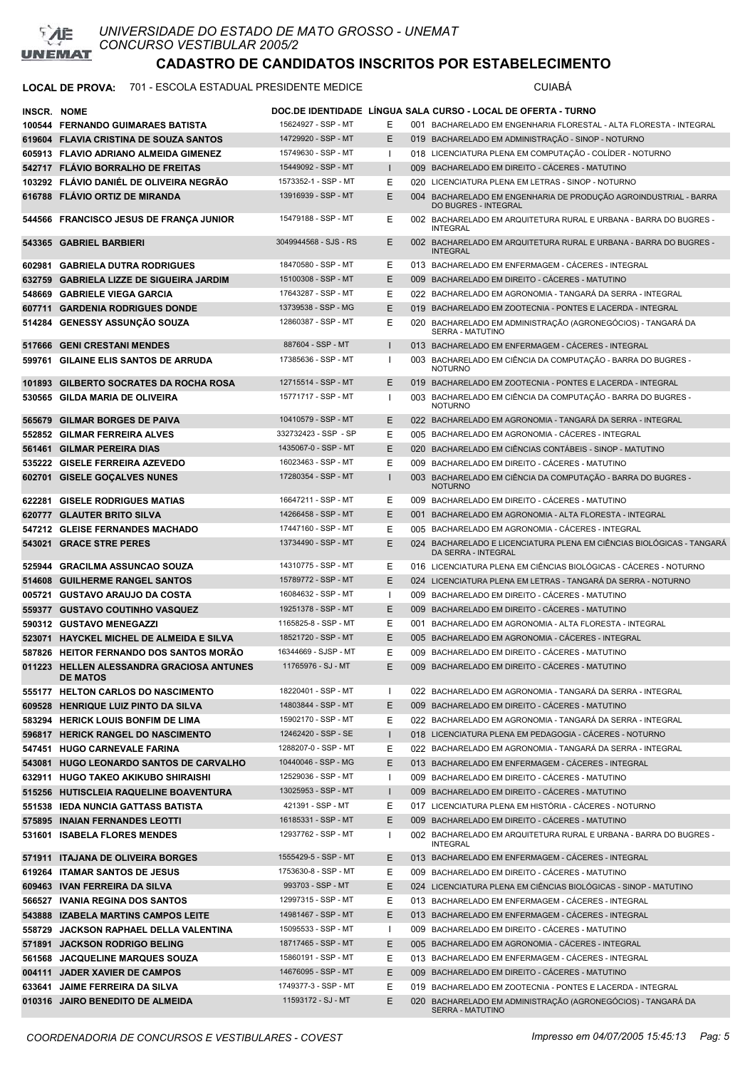

#### LOCAL DE PROVA: 701 - ESCOLA ESTADUAL PRESIDENTE MEDICE **Australia ESCOLA ESTADUAL PRESIDENTE** MEDICE

| <b>INSCR. NOME</b> |                                                                               |                                             |                    | DOC.DE IDENTIDADE   LINGUA SALA CURSO - LOCAL DE OFERTA - TURNO                                                            |
|--------------------|-------------------------------------------------------------------------------|---------------------------------------------|--------------------|----------------------------------------------------------------------------------------------------------------------------|
|                    | 100544 FERNANDO GUIMARAES BATISTA                                             | 15624927 - SSP - MT                         | Е                  | 001 BACHARELADO EM ENGENHARIA FLORESTAL - ALTA FLORESTA - INTEGRAL                                                         |
|                    | 619604 FLAVIA CRISTINA DE SOUZA SANTOS                                        | 14729920 - SSP - MT                         | Ε                  | 019 BACHARELADO EM ADMINISTRAÇÃO - SINOP - NOTURNO                                                                         |
|                    | 605913 FLAVIO ADRIANO ALMEIDA GIMENEZ                                         | 15749630 - SSP - MT                         | ı                  | 018 LICENCIATURA PLENA EM COMPUTAÇÃO - COLÍDER - NOTURNO                                                                   |
|                    | 542717 FLÁVIO BORRALHO DE FREITAS                                             | 15449092 - SSP - MT                         | $\mathbf{I}$       | 009 BACHARELADO EM DIREITO - CÁCERES - MATUTINO                                                                            |
|                    | 103292 FLÁVIO DANIÉL DE OLIVEIRA NEGRÃO                                       | 1573352-1 - SSP - MT                        | Ε                  | 020 LICENCIATURA PLENA EM LETRAS - SINOP - NOTURNO                                                                         |
|                    | 616788 FLAVIO ORTIZ DE MIRANDA                                                | 13916939 - SSP - MT                         | E                  | 004 BACHARELADO EM ENGENHARIA DE PRODUÇÃO AGROINDUSTRIAL - BARRA<br><b>DO BUGRES - INTEGRAL</b>                            |
|                    | 544566 FRANCISCO JESUS DE FRANÇA JUNIOR                                       | 15479188 - SSP - MT                         | Е                  | 002 BACHARELADO EM ARQUITETURA RURAL E URBANA - BARRA DO BUGRES -<br><b>INTEGRAL</b>                                       |
|                    | 543365 GABRIEL BARBIERI                                                       | 3049944568 - SJS - RS                       | E.                 | 002 BACHARELADO EM ARQUITETURA RURAL E URBANA - BARRA DO BUGRES -<br><b>INTEGRAL</b>                                       |
|                    | 602981 GABRIELA DUTRA RODRIGUES                                               | 18470580 - SSP - MT                         | Ε                  | 013 BACHARELADO EM ENFERMAGEM - CÁCERES - INTEGRAL                                                                         |
|                    | 632759 GABRIELA LIZZE DE SIGUEIRA JARDIM                                      | 15100308 - SSP - MT                         | E                  | 009 BACHARELADO EM DIREITO - CÁCERES - MATUTINO                                                                            |
|                    | 548669 GABRIELE VIEGA GARCIA                                                  | 17643287 - SSP - MT                         | Ε                  | 022 BACHARELADO EM AGRONOMIA - TANGARÁ DA SERRA - INTEGRAL                                                                 |
|                    | 607711 GARDENIA RODRIGUES DONDE                                               | 13739538 - SSP - MG                         | E                  | 019 BACHARELADO EM ZOOTECNIA - PONTES E LACERDA - INTEGRAL                                                                 |
|                    | 514284 GENESSY ASSUNÇÃO SOUZA                                                 | 12860387 - SSP - MT                         | Ε                  | 020 BACHARELADO EM ADMINISTRAÇÃO (AGRONEGÓCIOS) - TANGARÁ DA<br>SERRA - MATUTINO                                           |
|                    | 517666 GENI CRESTANI MENDES                                                   | 887604 - SSP - MT                           | $\mathbf{I}$       | 013 BACHARELADO EM ENFERMAGEM - CACERES - INTEGRAL                                                                         |
|                    | 599761 GILAINE ELIS SANTOS DE ARRUDA                                          | 17385636 - SSP - MT                         |                    | 003 BACHARELADO EM CIÊNCIA DA COMPUTAÇÃO - BARRA DO BUGRES -<br><b>NOTURNO</b>                                             |
|                    | 101893 GILBERTO SOCRATES DA ROCHA ROSA                                        | 12715514 - SSP - MT                         | E.                 | 019 BACHARELADO EM ZOOTECNIA - PONTES E LACERDA - INTEGRAL                                                                 |
|                    | 530565 GILDA MARIA DE OLIVEIRA                                                | 15771717 - SSP - MT                         | п                  | 003 BACHARELADO EM CIÊNCIA DA COMPUTAÇÃO - BARRA DO BUGRES -<br><b>NOTURNO</b>                                             |
|                    | 565679 GILMAR BORGES DE PAIVA                                                 | 10410579 - SSP - MT                         | E                  | 022 BACHARELADO EM AGRONOMIA - TANGARÁ DA SERRA - INTEGRAL                                                                 |
|                    | 552852 GILMAR FERREIRA ALVES                                                  | 332732423 - SSP - SP                        | Е                  | 005 BACHARELADO EM AGRONOMIA - CÁCERES - INTEGRAL                                                                          |
|                    | 561461 GILMAR PEREIRA DIAS                                                    | 1435067-0 - SSP - MT                        | E                  | 020 BACHARELADO EM CIÊNCIAS CONTÁBEIS - SINOP - MATUTINO                                                                   |
|                    | 535222 GISELE FERREIRA AZEVEDO                                                | 16023463 - SSP - MT                         | Е                  | 009 BACHARELADO EM DIREITO - CÁCERES - MATUTINO                                                                            |
|                    | 602701 GISELE GOÇALVES NUNES                                                  | 17280354 - SSP - MT                         | $\mathbf{I}$       | 003 BACHARELADO EM CIÊNCIA DA COMPUTAÇÃO - BARRA DO BUGRES -<br><b>NOTURNO</b>                                             |
|                    | 622281 GISELE RODRIGUES MATIAS                                                | 16647211 - SSP - MT<br>14266458 - SSP - MT  | Е<br>E             | 009 BACHARELADO EM DIREITO - CACERES - MATUTINO                                                                            |
|                    | 620777 GLAUTER BRITO SILVA                                                    | 17447160 - SSP - MT                         | Е                  | 001 BACHARELADO EM AGRONOMIA - ALTA FLORESTA - INTEGRAL                                                                    |
|                    | 547212 GLEISE FERNANDES MACHADO                                               | 13734490 - SSP - MT                         | E.                 | 005 BACHARELADO EM AGRONOMIA - CACERES - INTEGRAL<br>024 BACHARELADO E LICENCIATURA PLENA EM CIÊNCIAS BIOLÓGICAS - TANGARÁ |
|                    | 543021 GRACE STRE PERES                                                       |                                             |                    | DA SERRA - INTEGRAL                                                                                                        |
|                    | 525944 GRACILMA ASSUNCAO SOUZA                                                | 14310775 - SSP - MT                         | Е                  | 016 LICENCIATURA PLENA EM CIÊNCIAS BIOLÓGICAS - CÁCERES - NOTURNO                                                          |
|                    | 514608 GUILHERME RANGEL SANTOS                                                | 15789772 - SSP - MT                         | E.                 | 024 LICENCIATURA PLENA EM LETRAS - TANGARÁ DA SERRA - NOTURNO                                                              |
|                    | 005721 GUSTAVO ARAUJO DA COSTA                                                | 16084632 - SSP - MT<br>19251378 - SSP - MT  | $\mathbf{I}$<br>E. | 009 BACHARELADO EM DIREITO - CÁCERES - MATUTINO                                                                            |
|                    | 559377 GUSTAVO COUTINHO VASQUEZ                                               | 1165825-8 - SSP - MT                        | Ε                  | 009 BACHARELADO EM DIREITO - CÁCERES - MATUTINO<br>001 BACHARELADO EM AGRONOMIA - ALTA FLORESTA - INTEGRAL                 |
|                    | 590312 GUSTAVO MENEGAZZI<br>523071 HAYCKEL MICHEL DE ALMEIDA E SILVA          | 18521720 - SSP - MT                         | E                  | 005 BACHARELADO EM AGRONOMIA - CÁCERES - INTEGRAL                                                                          |
|                    | 587826 HEITOR FERNANDO DOS SANTOS MORÃO                                       | 16344669 - SJSP - MT                        | E                  | 009 BACHARELADO EM DIREITO - CÁCERES - MATUTINO                                                                            |
|                    | 011223 HELLEN ALESSANDRA GRACIOSA ANTUNES                                     | 11765976 - SJ - MT                          | E                  | 009 BACHARELADO EM DIREITO - CÁCERES - MATUTINO                                                                            |
|                    | <b>DE MATOS</b>                                                               |                                             |                    |                                                                                                                            |
|                    | 555177 HELTON CARLOS DO NASCIMENTO                                            | 18220401 - SSP - MT                         |                    | 022 BACHARELADO EM AGRONOMIA - TANGARÁ DA SERRA - INTEGRAL                                                                 |
|                    | 609528 HENRIQUE LUIZ PINTO DA SILVA                                           | 14803844 - SSP - MT                         | E                  | 009 BACHARELADO EM DIREITO - CÁCERES - MATUTINO                                                                            |
|                    | 583294 HERICK LOUIS BONFIM DE LIMA                                            | 15902170 - SSP - MT                         | Е                  | 022 BACHARELADO EM AGRONOMIA - TANGARÁ DA SERRA - INTEGRAL                                                                 |
|                    | 596817 HERICK RANGEL DO NASCIMENTO                                            | 12462420 - SSP - SE                         | $\mathbf{I}$       | 018 LICENCIATURA PLENA EM PEDAGOGIA - CÁCERES - NOTURNO                                                                    |
|                    | 547451 HUGO CARNEVALE FARINA                                                  | 1288207-0 - SSP - MT<br>10440046 - SSP - MG | Е                  | 022 BACHARELADO EM AGRONOMIA - TANGARÁ DA SERRA - INTEGRAL                                                                 |
|                    | 543081 HUGO LEONARDO SANTOS DE CARVALHO                                       | 12529036 - SSP - MT                         | E<br>ı             | 013 BACHARELADO EM ENFERMAGEM - CÁCERES - INTEGRAL<br>009 BACHARELADO EM DIREITO - CÁCERES - MATUTINO                      |
|                    | 632911 HUGO TAKEO AKIKUBO SHIRAISHI<br>515256 HUTISCLEIA RAQUELINE BOAVENTURA | 13025953 - SSP - MT                         | $\mathbf{I}$       | 009 BACHARELADO EM DIREITO - CÁCERES - MATUTINO                                                                            |
|                    | 551538 IEDA NUNCIA GATTASS BATISTA                                            | 421391 - SSP - MT                           | Е                  | 017 LICENCIATURA PLENA EM HISTÓRIA - CÁCERES - NOTURNO                                                                     |
|                    | 575895 INAIAN FERNANDES LEOTTI                                                | 16185331 - SSP - MT                         | E                  | 009 BACHARELADO EM DIREITO - CÁCERES - MATUTINO                                                                            |
|                    | 531601 ISABELA FLORES MENDES                                                  | 12937762 - SSP - MT                         | ı                  | 002 BACHARELADO EM ARQUITETURA RURAL E URBANA - BARRA DO BUGRES -                                                          |
|                    | 571911 ITAJANA DE OLIVEIRA BORGES                                             | 1555429-5 - SSP - MT                        | E.                 | <b>INTEGRAL</b><br>013 BACHARELADO EM ENFERMAGEM - CÁCERES - INTEGRAL                                                      |
|                    | 619264 ITAMAR SANTOS DE JESUS                                                 | 1753630-8 - SSP - MT                        | Е                  | 009 BACHARELADO EM DIREITO - CÁCERES - MATUTINO                                                                            |
|                    | 609463 IVAN FERREIRA DA SILVA                                                 | 993703 - SSP - MT                           | Е                  | 024 LICENCIATURA PLENA EM CIÊNCIAS BIOLÓGICAS - SINOP - MATUTINO                                                           |
|                    | 566527 IVANIA REGINA DOS SANTOS                                               | 12997315 - SSP - MT                         | Е                  | 013 BACHARELADO EM ENFERMAGEM - CÁCERES - INTEGRAL                                                                         |
|                    | 543888 IZABELA MARTINS CAMPOS LEITE                                           | 14981467 - SSP - MT                         | E                  | 013 BACHARELADO EM ENFERMAGEM - CÁCERES - INTEGRAL                                                                         |
|                    | 558729 JACKSON RAPHAEL DELLA VALENTINA                                        | 15095533 - SSP - MT                         | ı                  | 009 BACHARELADO EM DIREITO - CÁCERES - MATUTINO                                                                            |
|                    | 571891 JACKSON RODRIGO BELING                                                 | 18717465 - SSP - MT                         | E                  | 005 BACHARELADO EM AGRONOMIA - CÁCERES - INTEGRAL                                                                          |
|                    | 561568 JACQUELINE MARQUES SOUZA                                               | 15860191 - SSP - MT                         | Е                  | 013 BACHARELADO EM ENFERMAGEM - CÁCERES - INTEGRAL                                                                         |
|                    | 004111 JADER XAVIER DE CAMPOS                                                 | 14676095 - SSP - MT                         | Е                  | 009 BACHARELADO EM DIREITO - CÁCERES - MATUTINO                                                                            |
|                    | 633641 JAIME FERREIRA DA SILVA                                                | 1749377-3 - SSP - MT                        | Е                  | 019 BACHARELADO EM ZOOTECNIA - PONTES E LACERDA - INTEGRAL                                                                 |
|                    | 010316 JAIRO BENEDITO DE ALMEIDA                                              | 11593172 - SJ - MT                          | Е                  | 020 BACHARELADO EM ADMINISTRAÇÃO (AGRONEGÓCIOS) - TANGARÁ DA<br>SERRA - MATUTINO                                           |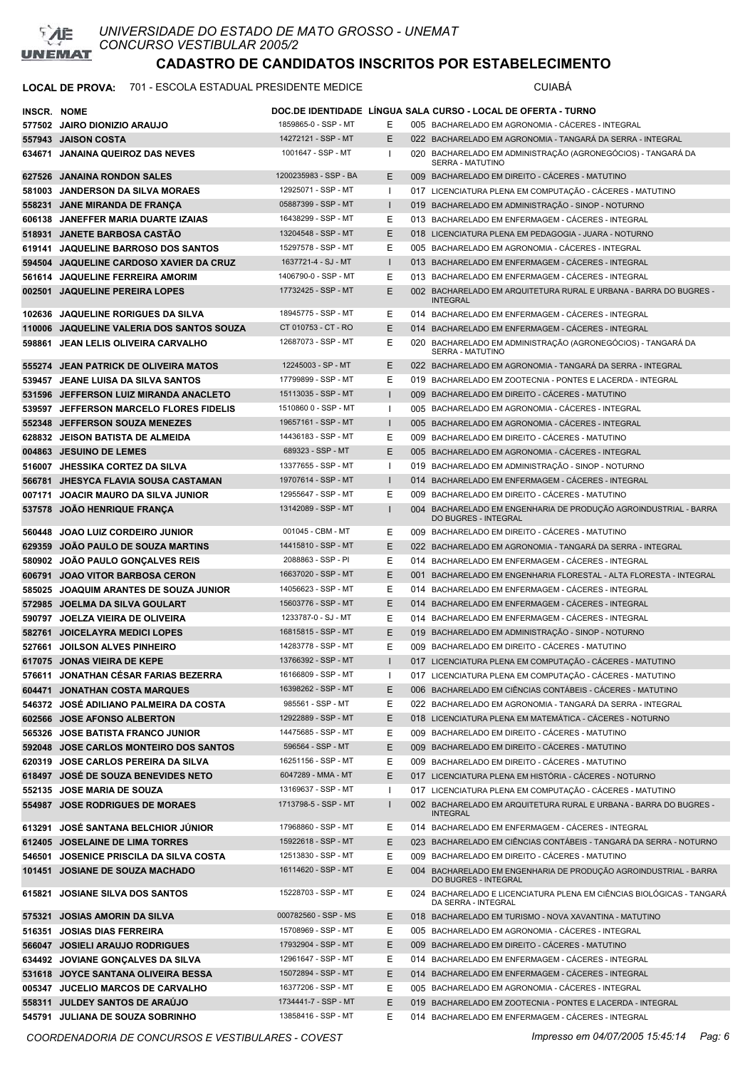

#### LOCAL DE PROVA: 701 - ESCOLA ESTADUAL PRESIDENTE MEDICE **Antiquate State COMANA**

| INSCR. NOME |                                                               |                                             |              | DOC.DE IDENTIDADE LINGUA SALA CURSO - LOCAL DE OFERTA - TURNO                                                                                     |
|-------------|---------------------------------------------------------------|---------------------------------------------|--------------|---------------------------------------------------------------------------------------------------------------------------------------------------|
|             | 577502 JAIRO DIONIZIO ARAUJO                                  | 1859865-0 - SSP - MT                        | E.           | 005 BACHARELADO EM AGRONOMIA - CACERES - INTEGRAL                                                                                                 |
|             | 557943 JAISON COSTA                                           | 14272121 - SSP - MT                         | Е            | 022 BACHARELADO EM AGRONOMIA - TANGARÁ DA SERRA - INTEGRAL                                                                                        |
| 634671      | <b>JANAINA QUEIROZ DAS NEVES</b>                              | 1001647 - SSP - MT                          | ш            | 020 BACHARELADO EM ADMINISTRAÇÃO (AGRONEGÓCIOS) - TANGARÁ DA<br>SERRA - MATUTINO                                                                  |
|             | 627526 JANAINA RONDON SALES                                   | 1200235983 - SSP - BA                       | E.           | 009 BACHARELADO EM DIREITO - CÁCERES - MATUTINO                                                                                                   |
|             | 581003 JANDERSON DA SILVA MORAES                              | 12925071 - SSP - MT                         | Ι.           | 017 LICENCIATURA PLENA EM COMPUTAÇÃO - CÁCERES - MATUTINO                                                                                         |
|             | 558231 JANE MIRANDA DE FRANÇA                                 | 05887399 - SSP - MT                         | $\mathbf{I}$ | 019 BACHARELADO EM ADMINISTRAÇÃO - SINOP - NOTURNO                                                                                                |
|             | 606138 JANEFFER MARIA DUARTE IZAIAS                           | 16438299 - SSP - MT                         | Е            | 013 BACHARELADO EM ENFERMAGEM - CACERES - INTEGRAL                                                                                                |
|             | 518931 JANETE BARBOSA CASTÃO                                  | 13204548 - SSP - MT                         | E.           | 018 LICENCIATURA PLENA EM PEDAGOGIA - JUARA - NOTURNO                                                                                             |
| 619141      | <b>JAQUELINE BARROSO DOS SANTOS</b>                           | 15297578 - SSP - MT                         | Е            | 005 BACHARELADO EM AGRONOMIA - CACERES - INTEGRAL                                                                                                 |
|             | 594504 JAQUELINE CARDOSO XAVIER DA CRUZ                       | 1637721-4 - SJ - MT                         | $\mathbf{I}$ | 013 BACHARELADO EM ENFERMAGEM - CACERES - INTEGRAL                                                                                                |
| 561614      | <b>JAQUELINE FERREIRA AMORIM</b>                              | 1406790-0 - SSP - MT                        | Е            | 013 BACHARELADO EM ENFERMAGEM - CÁCERES - INTEGRAL                                                                                                |
|             | 002501 JAQUELINE PEREIRA LOPES                                | 17732425 - SSP - MT                         | E            | 002 BACHARELADO EM ARQUITETURA RURAL E URBANA - BARRA DO BUGRES -<br><b>INTEGRAL</b>                                                              |
|             | 102636 JAQUELINE RORIGUES DA SILVA                            | 18945775 - SSP - MT                         | E.           | 014 BACHARELADO EM ENFERMAGEM - CÁCERES - INTEGRAL                                                                                                |
|             | 110006 JAQUELINE VALERIA DOS SANTOS SOUZA                     | CT 010753 - CT - RO                         | E.           | 014 BACHARELADO EM ENFERMAGEM - CÁCERES - INTEGRAL                                                                                                |
| 598861      | JEAN LELIS OLIVEIRA CARVALHO                                  | 12687073 - SSP - MT                         | Е            | 020 BACHARELADO EM ADMINISTRAÇÃO (AGRONEGÓCIOS) - TANGARÁ DA<br>SERRA - MATUTINO                                                                  |
|             | 555274 JEAN PATRICK DE OLIVEIRA MATOS                         | 12245003 - SP - MT                          | E.           | 022 BACHARELADO EM AGRONOMIA - TANGARÁ DA SERRA - INTEGRAL                                                                                        |
|             | 539457 JEANE LUISA DA SILVA SANTOS                            | 17799899 - SSP - MT                         | Е            | 019 BACHARELADO EM ZOOTECNIA - PONTES E LACERDA - INTEGRAL                                                                                        |
|             | 531596 JEFFERSON LUIZ MIRANDA ANACLETO                        | 15113035 - SSP - MT                         | $\mathbf{I}$ | 009 BACHARELADO EM DIREITO - CÁCERES - MATUTINO                                                                                                   |
|             | 539597 JEFFERSON MARCELO FLORES FIDELIS                       | 1510860 0 - SSP - MT                        | -1           | 005 BACHARELADO EM AGRONOMIA - CÁCERES - INTEGRAL                                                                                                 |
|             | 552348 JEFFERSON SOUZA MENEZES                                | 19657161 - SSP - MT                         | $\mathbf{I}$ | 005 BACHARELADO EM AGRONOMIA - CACERES - INTEGRAL                                                                                                 |
|             | 628832 JEISON BATISTA DE ALMEIDA                              | 14436183 - SSP - MT                         | Е            | 009 BACHARELADO EM DIREITO - CÁCERES - MATUTINO                                                                                                   |
|             | 004863 JESUINO DE LEMES                                       | 689323 - SSP - MT                           | E.           | 005 BACHARELADO EM AGRONOMIA - CÁCERES - INTEGRAL                                                                                                 |
|             | 516007 JHESSIKA CORTEZ DA SILVA                               | 13377655 - SSP - MT                         | $\mathbf{I}$ | 019 BACHARELADO EM ADMINISTRAÇÃO - SINOP - NOTURNO                                                                                                |
|             | 566781 JHESYCA FLAVIA SOUSA CASTAMAN                          | 19707614 - SSP - MT                         | $\mathbf{I}$ | 014 BACHARELADO EM ENFERMAGEM - CACERES - INTEGRAL                                                                                                |
| 007171      | JOACIR MAURO DA SILVA JUNIOR                                  | 12955647 - SSP - MT                         | Е            | 009 BACHARELADO EM DIREITO - CÁCERES - MATUTINO                                                                                                   |
| 537578      | <b>JOAO HENRIQUE FRANÇA</b>                                   | 13142089 - SSP - MT                         |              | 004 BACHARELADO EM ENGENHARIA DE PRODUÇÃO AGROINDUSTRIAL - BARRA<br>DO BUGRES - INTEGRAL                                                          |
|             | 560448 JOAO LUIZ CORDEIRO JUNIOR                              | 001045 - CBM - MT                           | Ε            | 009 BACHARELADO EM DIREITO - CÁCERES - MATUTINO                                                                                                   |
|             | 629359 JOAO PAULO DE SOUZA MARTINS                            | 14415810 - SSP - MT                         | E.           | 022 BACHARELADO EM AGRONOMIA - TANGARÁ DA SERRA - INTEGRAL                                                                                        |
|             | 580902 JOÃO PAULO GONÇALVES REIS                              | 2088863 - SSP - PI                          | E.           | 014 BACHARELADO EM ENFERMAGEM - CÁCERES - INTEGRAL                                                                                                |
|             | 606791 JOAO VITOR BARBOSA CERON                               | 16637020 - SSP - MT                         | E.           | 001 BACHARELADO EM ENGENHARIA FLORESTAL - ALTA FLORESTA - INTEGRAL                                                                                |
|             | 585025 JOAQUIM ARANTES DE SOUZA JUNIOR                        | 14056623 - SSP - MT                         | E.           | 014 BACHARELADO EM ENFERMAGEM - CÁCERES - INTEGRAL                                                                                                |
|             | 572985 JOELMA DA SILVA GOULART                                | 15603776 - SSP - MT                         | E.           | 014 BACHARELADO EM ENFERMAGEM - CACERES - INTEGRAL                                                                                                |
|             | 590797 JOELZA VIEIRA DE OLIVEIRA                              | 1233787-0 - SJ - MT                         | Е            | 014 BACHARELADO EM ENFERMAGEM - CÁCERES - INTEGRAL                                                                                                |
|             | 582761 JOICELAYRA MEDICI LOPES                                | 16815815 - SSP - MT                         | E            | 019 BACHARELADO EM ADMINISTRAÇÃO - SINOP - NOTURNO                                                                                                |
|             | 527661 JOILSON ALVES PINHEIRO                                 | 14283778 - SSP - MT                         | Ε            | 009 BACHARELADO EM DIREITO - CÁCERES - MATUTINO                                                                                                   |
|             | 617075 JONAS VIEIRA DE KEPE                                   | 13766392 - SSP - MT                         | $\mathbf{I}$ | 017 LICENCIATURA PLENA EM COMPUTAÇÃO - CÁCERES - MATUTINO                                                                                         |
|             | 576611 JONATHAN CÉSAR FARIAS BEZERRA                          | 16166809 - SSP - MT                         | ı            | 017 LICENCIATURA PLENA EM COMPUTAÇÃO - CÁCERES - MATUTINO                                                                                         |
|             | 604471 JONATHAN COSTA MARQUES                                 | 16398262 - SSP - MT                         | E.           | 006 BACHARELADO EM CIÊNCIAS CONTÁBEIS - CÁCERES - MATUTINO                                                                                        |
|             | 546372 JOSÉ ADILIANO PALMEIRA DA COSTA                        | 985561 - SSP - MT                           | Е            | 022 BACHARELADO EM AGRONOMIA - TANGARÁ DA SERRA - INTEGRAL                                                                                        |
|             | 602566 JOSE AFONSO ALBERTON                                   | 12922889 - SSP - MT                         | E.           | 018 LICENCIATURA PLENA EM MATEMÁTICA - CÁCERES - NOTURNO                                                                                          |
|             | 565326 JOSE BATISTA FRANCO JUNIOR                             | 14475685 - SSP - MT                         | E            | 009 BACHARELADO EM DIREITO - CÁCERES - MATUTINO                                                                                                   |
|             | 592048 JOSE CARLOS MONTEIRO DOS SANTOS                        | 596564 - SSP - MT                           | E.           | 009 BACHARELADO EM DIREITO - CÁCERES - MATUTINO                                                                                                   |
|             | 620319 JOSE CARLOS PEREIRA DA SILVA                           | 16251156 - SSP - MT                         | Ε            | 009 BACHARELADO EM DIREITO - CÁCERES - MATUTINO                                                                                                   |
|             | 618497 JOSÉ DE SOUZA BENEVIDES NETO                           | 6047289 - MMA - MT                          | E            | 017 LICENCIATURA PLENA EM HISTÓRIA - CÁCERES - NOTURNO                                                                                            |
|             | 552135 JOSE MARIA DE SOUZA<br>554987 JOSE RODRIGUES DE MORAES | 13169637 - SSP - MT<br>1713798-5 - SSP - MT | Ι.<br>I.     | 017 LICENCIATURA PLENA EM COMPUTAÇÃO - CÁCERES - MATUTINO<br>002 BACHARELADO EM ARQUITETURA RURAL E URBANA - BARRA DO BUGRES -<br><b>INTEGRAL</b> |
|             | 613291 JOSÉ SANTANA BELCHIOR JÚNIOR                           | 17968860 - SSP - MT                         | E.           | 014 BACHARELADO EM ENFERMAGEM - CÁCERES - INTEGRAL                                                                                                |
|             | 612405 JOSELAINE DE LIMA TORRES                               | 15922618 - SSP - MT                         | E.           | 023 BACHARELADO EM CIÊNCIAS CONTÁBEIS - TANGARÁ DA SERRA - NOTURNO                                                                                |
| 546501      | <b>JOSENICE PRISCILA DA SILVA COSTA</b>                       | 12513830 - SSP - MT                         | Е            | 009 BACHARELADO EM DIREITO - CÁCERES - MATUTINO                                                                                                   |
|             | 101451 JOSIANE DE SOUZA MACHADO                               | 16114620 - SSP - MT                         | E.           | 004 BACHARELADO EM ENGENHARIA DE PRODUÇÃO AGROINDUSTRIAL - BARRA                                                                                  |
| 615821      | <b>JOSIANE SILVA DOS SANTOS</b>                               | 15228703 - SSP - MT                         | E            | DO BUGRES - INTEGRAL<br>024 BACHARELADO E LICENCIATURA PLENA EM CIÊNCIAS BIOLÓGICAS - TANGARÁ                                                     |
|             |                                                               |                                             |              | DA SERRA - INTEGRAL                                                                                                                               |
|             | 575321 JOSIAS AMORIN DA SILVA                                 | 000782560 - SSP - MS                        | E.           | 018 BACHARELADO EM TURISMO - NOVA XAVANTINA - MATUTINO                                                                                            |
| 516351      | <b>JOSIAS DIAS FERREIRA</b>                                   | 15708969 - SSP - MT                         | Е            | 005 BACHARELADO EM AGRONOMIA - CÁCERES - INTEGRAL                                                                                                 |
|             | 566047 JOSIELI ARAUJO RODRIGUES                               | 17932904 - SSP - MT                         | E.           | 009 BACHARELADO EM DIREITO - CÁCERES - MATUTINO                                                                                                   |
|             | 634492 JOVIANE GONÇALVES DA SILVA                             | 12961647 - SSP - MT                         | Ε            | 014 BACHARELADO EM ENFERMAGEM - CÁCERES - INTEGRAL                                                                                                |
|             | 531618 JOYCE SANTANA OLIVEIRA BESSA                           | 15072894 - SSP - MT                         | E.           | 014 BACHARELADO EM ENFERMAGEM - CÁCERES - INTEGRAL                                                                                                |
|             | 005347 JUCELIO MARCOS DE CARVALHO                             | 16377206 - SSP - MT                         | E            | 005 BACHARELADO EM AGRONOMIA - CÁCERES - INTEGRAL                                                                                                 |
|             | 558311 JULDEY SANTOS DE ARAÚJO                                | 1734441-7 - SSP - MT                        | E.           | 019 BACHARELADO EM ZOOTECNIA - PONTES E LACERDA - INTEGRAL                                                                                        |
| 545791      | <b>JULIANA DE SOUZA SOBRINHO</b>                              | 13858416 - SSP - MT                         | Е            | 014 BACHARELADO EM ENFERMAGEM - CÁCERES - INTEGRAL                                                                                                |

*COORDENADORIA DE CONCURSOS E VESTIBULARES - COVEST Impresso em 04/07/2005 15:45:14 Pag: 6*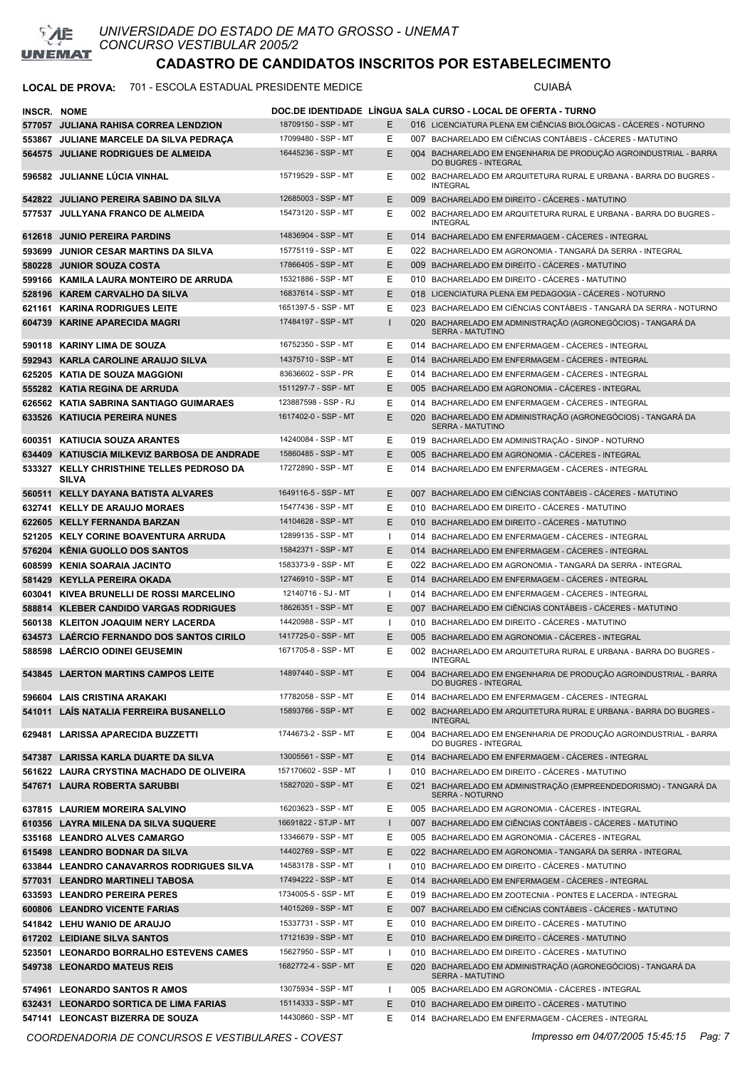

### LOCAL DE PROVA: 701 - ESCOLA ESTADUAL PRESIDENTE MEDICE **Antiquate State COMBENTE**

| <b>INSCR. NOME</b> |                                                           |                                              |              | DOC.DE IDENTIDADE LINGUA SALA CURSO - LOCAL DE OFERTA - TURNO                            |
|--------------------|-----------------------------------------------------------|----------------------------------------------|--------------|------------------------------------------------------------------------------------------|
|                    | 577057 JULIANA RAHISA CORREA LENDZION                     | 18709150 - SSP - MT                          | Е            | 016 LICENCIATURA PLENA EM CIÊNCIAS BIOLÓGICAS - CACERES - NOTURNO                        |
|                    | 553867 JULIANE MARCELE DA SILVA PEDRACA                   | 17099480 - SSP - MT                          | Ε            | 007 BACHARELADO EM CIÊNCIAS CONTÁBEIS - CACERES - MATUTINO                               |
|                    | 564575 JULIANE RODRIGUES DE ALMEIDA                       | 16445236 - SSP - MT                          | E            | 004 BACHARELADO EM ENGENHARIA DE PRODUÇÃO AGROINDUSTRIAL - BARRA<br>DO BUGRES - INTEGRAL |
|                    | 596582 JULIANNE LÚCIA VINHAL                              | 15719529 - SSP - MT                          | Е            | 002 BACHARELADO EM ARQUITETURA RURAL E URBANA - BARRA DO BUGRES -<br><b>INTEGRAL</b>     |
|                    | 542822 JULIANO PEREIRA SABINO DA SILVA                    | 12685003 - SSP - MT                          | E            | 009 BACHARELADO EM DIREITO - CÁCERES - MATUTINO                                          |
|                    | 577537 JULLYANA FRANCO DE ALMEIDA                         | 15473120 - SSP - MT                          | Е            | 002 BACHARELADO EM ARQUITETURA RURAL E URBANA - BARRA DO BUGRES -<br><b>INTEGRAL</b>     |
|                    | 612618 JUNIO PEREIRA PARDINS                              | 14836904 - SSP - MT                          | E            | 014 BACHARELADO EM ENFERMAGEM - CÁCERES - INTEGRAL                                       |
|                    | 593699 JUNIOR CESAR MARTINS DA SILVA                      | 15775119 - SSP - MT                          | Е            | 022 BACHARELADO EM AGRONOMIA - TANGARÁ DA SERRA - INTEGRAL                               |
|                    | 580228 JUNIOR SOUZA COSTA                                 | 17866405 - SSP - MT                          | E            | 009 BACHARELADO EM DIREITO - CÁCERES - MATUTINO                                          |
|                    | 599166 KAMILA LAURA MONTEIRO DE ARRUDA                    | 15321886 - SSP - MT                          | Е            | 010 BACHARELADO EM DIREITO - CÁCERES - MATUTINO                                          |
|                    | 528196 KAREM CARVALHO DA SILVA                            | 16837614 - SSP - MT                          | E            | 018 LICENCIATURA PLENA EM PEDAGOGIA - CÁCERES - NOTURNO                                  |
|                    | 621161 KARINA RODRIGUES LEITE                             | 1651397-5 - SSP - MT                         | E            | 023 BACHARELADO EM CIÊNCIAS CONTÁBEIS - TANGARÁ DA SERRA - NOTURNO                       |
|                    | 604739 KARINE APARECIDA MAGRI                             | 17484197 - SSP - MT                          | 1            | 020 BACHARELADO EM ADMINISTRAÇÃO (AGRONEGÓCIOS) - TANGARÁ DA<br><b>SERRA - MATUTINO</b>  |
|                    | 590118 KARINY LIMA DE SOUZA                               | 16752350 - SSP - MT                          | Е            | 014 BACHARELADO EM ENFERMAGEM - CACERES - INTEGRAL                                       |
|                    | 592943 KARLA CAROLINE ARAUJO SILVA                        | 14375710 - SSP - MT                          | E            | 014 BACHARELADO EM ENFERMAGEM - CÁCERES - INTEGRAL                                       |
|                    | 625205 KATIA DE SOUZA MAGGIONI                            | 83636602 - SSP - PR                          | Е            | 014 BACHARELADO EM ENFERMAGEM - CÁCERES - INTEGRAL                                       |
|                    | 555282 KATIA REGINA DE ARRUDA                             | 1511297-7 - SSP - MT                         | E            | 005 BACHARELADO EM AGRONOMIA - CACERES - INTEGRAL                                        |
|                    | 626562 KATIA SABRINA SANTIAGO GUIMARAES                   | 123887598 - SSP - RJ                         | Е            | 014 BACHARELADO EM ENFERMAGEM - CÁCERES - INTEGRAL                                       |
|                    | 633526 KATIUCIA PEREIRA NUNES                             | 1617402-0 - SSP - MT                         | Е            | 020 BACHARELADO EM ADMINISTRAÇÃO (AGRONEGÓCIOS) - TANGARÁ DA<br><b>SERRA - MATUTINO</b>  |
|                    | 600351 KATIUCIA SOUZA ARANTES                             | 14240084 - SSP - MT                          | Е            | 019 BACHARELADO EM ADMINISTRAÇÃO - SINOP - NOTURNO                                       |
|                    | 634409 KATIUSCIA MILKEVIZ BARBOSA DE ANDRADE              | 15860485 - SSP - MT                          | E            | 005 BACHARELADO EM AGRONOMIA - CÁCERES - INTEGRAL                                        |
|                    | 533327 KELLY CHRISTHINE TELLES PEDROSO DA<br><b>SILVA</b> | 17272890 - SSP - MT                          | Е            | 014 BACHARELADO EM ENFERMAGEM - CÁCERES - INTEGRAL                                       |
|                    | 560511 KELLY DAYANA BATISTA ALVARES                       | 1649116-5 - SSP - MT                         | E            | 007 BACHARELADO EM CIÊNCIAS CONTÁBEIS - CÁCERES - MATUTINO                               |
|                    | 632741 KELLY DE ARAUJO MORAES                             | 15477436 - SSP - MT                          | Е            | 010 BACHARELADO EM DIREITO - CÁCERES - MATUTINO                                          |
|                    | 622605 KELLY FERNANDA BARZAN                              | 14104628 - SSP - MT                          | E            | 010 BACHARELADO EM DIREITO - CÁCERES - MATUTINO                                          |
|                    | 521205 KELY CORINE BOAVENTURA ARRUDA                      | 12899135 - SSP - MT                          | -1           | 014 BACHARELADO EM ENFERMAGEM - CACERES - INTEGRAL                                       |
|                    | 576204 KËNIA GUOLLO DOS SANTOS                            | 15842371 - SSP - MT                          | E            | 014 BACHARELADO EM ENFERMAGEM - CÁCERES - INTEGRAL                                       |
|                    | 608599 KENIA SOARAIA JACINTO                              | 1583373-9 - SSP - MT                         | Е            | 022 BACHARELADO EM AGRONOMIA - TANGARÁ DA SERRA - INTEGRAL                               |
|                    | 581429 KEYLLA PEREIRA OKADA                               | 12746910 - SSP - MT                          | E            | 014 BACHARELADO EM ENFERMAGEM - CÁCERES - INTEGRAL                                       |
|                    | 603041 KIVEA BRUNELLI DE ROSSI MARCELINO                  | 12140716 - SJ - MT                           | $\mathbf{I}$ | 014 BACHARELADO EM ENFERMAGEM - CACERES - INTEGRAL                                       |
|                    | 588814 KLEBER CANDIDO VARGAS RODRIGUES                    | 18626351 - SSP - MT                          | Е            | 007 BACHARELADO EM CIÊNCIAS CONTÁBEIS - CÁCERES - MATUTINO                               |
|                    | 560138 KLEITON JOAQUIM NERY LACERDA                       | 14420988 - SSP - MT                          | $\mathbf{I}$ | 010 BACHARELADO EM DIREITO - CACERES - MATUTINO                                          |
|                    | 634573 LAÉRCIO FERNANDO DOS SANTOS CIRILO                 | 1417725-0 - SSP - MT<br>1671705-8 - SSP - MT | E            | 005 BACHARELADO EM AGRONOMIA - CÁCERES - INTEGRAL                                        |
|                    | 588598 LAERCIO ODINEI GEUSEMIN                            |                                              | Е            | 002 BACHARELADO EM ARQUITETURA RURAL E URBANA - BARRA DO BUGRES -<br><b>INTEGRAL</b>     |
|                    | 543845 LAERTON MARTINS CAMPOS LEITE                       | 14897440 - SSP - MT                          | Ε            | 004 BACHARELADO EM ENGENHARIA DE PRODUÇÃO AGROINDUSTRIAL - BARRA<br>DO BUGRES - INTEGRAL |
|                    | 596604 LAIS CRISTINA ARAKAKI                              | 17782058 - SSP - MT                          | Е            | 014 BACHARELADO EM ENFERMAGEM - CÁCERES - INTEGRAL                                       |
|                    | 541011 LAIS NATALIA FERREIRA BUSANELLO                    | 15893766 - SSP - MT                          | E            | 002 BACHARELADO EM ARQUITETURA RURAL E URBANA - BARRA DO BUGRES -<br><b>INTEGRAL</b>     |
|                    | 629481 LARISSA APARECIDA BUZZETTI                         | 1744673-2 - SSP - MT                         | Е            | 004 BACHARELADO EM ENGENHARIA DE PRODUÇÃO AGROINDUSTRIAL - BARRA<br>DO BUGRES - INTEGRAL |
|                    | 547387 LARISSA KARLA DUARTE DA SILVA                      | 13005561 - SSP - MT<br>157170602 - SSP - MT  | E<br>ш       | 014 BACHARELADO EM ENFERMAGEM - CACERES - INTEGRAL                                       |
|                    | 561622 LAURA CRYSTINA MACHADO DE OLIVEIRA                 | 15827020 - SSP - MT                          |              | 010 BACHARELADO EM DIREITO - CÁCERES - MATUTINO                                          |
|                    | 547671 LAURA ROBERTA SARUBBI                              |                                              | E            | 021 BACHARELADO EM ADMINISTRAÇÃO (EMPREENDEDORISMO) - TANGARÁ DA<br>SERRA - NOTURNO      |
|                    | 637815 LAURIEM MOREIRA SALVINO                            | 16203623 - SSP - MT                          | Е            | 005 BACHARELADO EM AGRONOMIA - CÁCERES - INTEGRAL                                        |
|                    | 610356 LAYRA MILENA DA SILVA SUQUERE                      | 16691822 - STJP - MT                         | $\mathbf{I}$ | 007 BACHARELADO EM CIÊNCIAS CONTÁBEIS - CÁCERES - MATUTINO                               |
|                    | 535168 LEANDRO ALVES CAMARGO                              | 13346679 - SSP - MT                          | Е            | 005 BACHARELADO EM AGRONOMIA - CÁCERES - INTEGRAL                                        |
|                    | 615498 LEANDRO BODNAR DA SILVA                            | 14402769 - SSP - MT                          | Е            | 022 BACHARELADO EM AGRONOMIA - TANGARÁ DA SERRA - INTEGRAL                               |
|                    | 633844 LEANDRO CANAVARROS RODRIGUES SILVA                 | 14583178 - SSP - MT                          | H            | 010 BACHARELADO EM DIREITO - CÁCERES - MATUTINO                                          |
|                    | 577031 LEANDRO MARTINELI TABOSA                           | 17494222 - SSP - MT                          | Е            | 014 BACHARELADO EM ENFERMAGEM - CÁCERES - INTEGRAL                                       |
|                    | 633593 LEANDRO PEREIRA PERES                              | 1734005-5 - SSP - MT                         | Е            | 019 BACHARELADO EM ZOOTECNIA - PONTES E LACERDA - INTEGRAL                               |
|                    | 600806 LEANDRO VICENTE FARIAS                             | 14015269 - SSP - MT                          | E            | 007 BACHARELADO EM CIÊNCIAS CONTÁBEIS - CÁCERES - MATUTINO                               |
|                    | 541842 LEHU WANIO DE ARAUJO                               | 15337731 - SSP - MT                          | Е            | 010 BACHARELADO EM DIREITO - CÁCERES - MATUTINO                                          |
|                    | 617202 LEIDIANE SILVA SANTOS                              | 17121639 - SSP - MT                          | E            | 010 BACHARELADO EM DIREITO - CÁCERES - MATUTINO                                          |
|                    | 523501 LEONARDO BORRALHO ESTEVENS CAMES                   | 15627950 - SSP - MT<br>1682772-4 - SSP - MT  | -1           | 010 BACHARELADO EM DIREITO - CÁCERES - MATUTINO                                          |
|                    | 549738 LEONARDO MATEUS REIS                               |                                              | E            | 020 BACHARELADO EM ADMINISTRAÇÃO (AGRONEGÓCIOS) - TANGARÁ DA<br><b>SERRA - MATUTINO</b>  |
|                    | 574961 LEONARDO SANTOS RAMOS                              | 13075934 - SSP - MT                          | -1           | 005 BACHARELADO EM AGRONOMIA - CÁCERES - INTEGRAL                                        |
|                    | 632431 LEONARDO SORTICA DE LIMA FARIAS                    | 15114333 - SSP - MT                          | Е            | 010 BACHARELADO EM DIREITO - CÁCERES - MATUTINO                                          |
|                    | 547141 LEONCAST BIZERRA DE SOUZA                          | 14430860 - SSP - MT                          | Ε            | 014 BACHARELADO EM ENFERMAGEM - CÁCERES - INTEGRAL                                       |

*COORDENADORIA DE CONCURSOS E VESTIBULARES - COVEST Impresso em 04/07/2005 15:45:15 Pag: 7*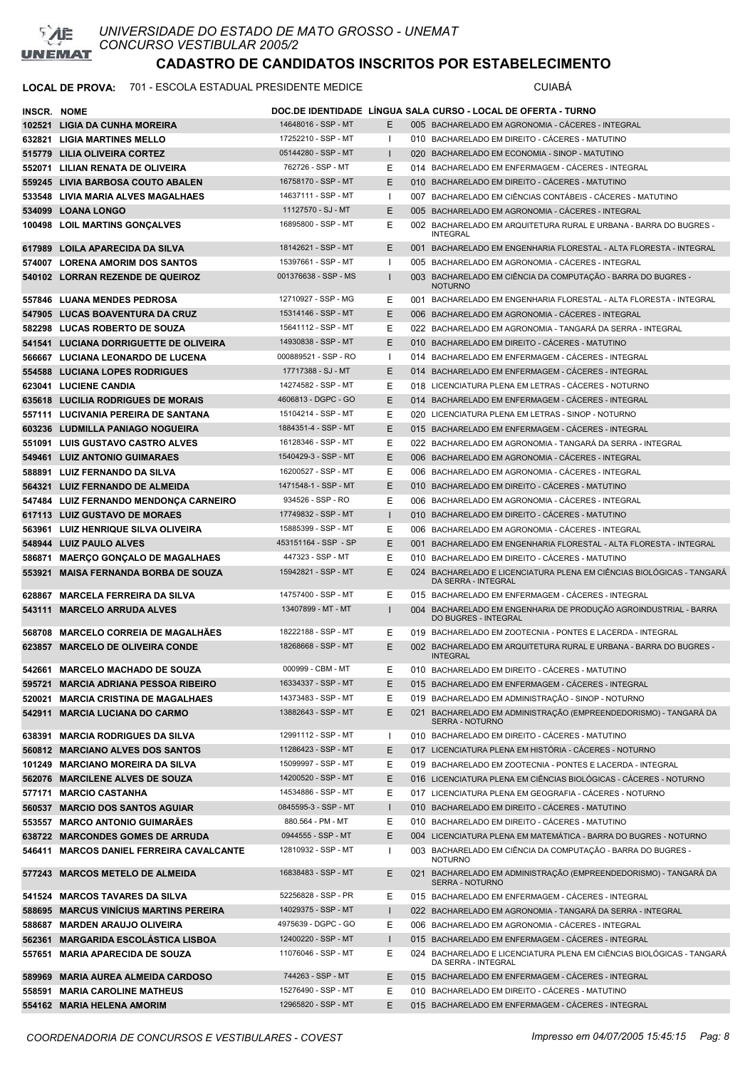

### LOCAL DE PROVA: 701 - ESCOLA ESTADUAL PRESIDENTE MEDICE **Australia ESCOLA ESTADUAL PRESIDENTE** MEDICE

| <b>INSCR. NOME</b> |                                          |                      |              | DOC.DE IDENTIDADE LINGUA SALA CURSO - LOCAL DE OFERTA - TURNO                                       |
|--------------------|------------------------------------------|----------------------|--------------|-----------------------------------------------------------------------------------------------------|
|                    | 102521 LIGIA DA CUNHA MOREIRA            | 14648016 - SSP - MT  | E.           | 005 BACHARELADO EM AGRONOMIA - CACERES - INTEGRAL                                                   |
|                    | 632821 LIGIA MARTINES MELLO              | 17252210 - SSP - MT  | Ι.           | 010 BACHARELADO EM DIREITO - CACERES - MATUTINO                                                     |
|                    | 515779 LILIA OLIVEIRA CORTEZ             | 05144280 - SSP - MT  | $\mathbf{I}$ | 020 BACHARELADO EM ECONOMIA - SINOP - MATUTINO                                                      |
|                    | 552071 LILIAN RENATA DE OLIVEIRA         | 762726 - SSP - MT    | E            | 014 BACHARELADO EM ENFERMAGEM - CACERES - INTEGRAL                                                  |
|                    | 559245 LIVIA BARBOSA COUTO ABALEN        | 16758170 - SSP - MT  | E.           | 010 BACHARELADO EM DIREITO - CÁCERES - MATUTINO                                                     |
|                    | 533548 LIVIA MARIA ALVES MAGALHAES       | 14637111 - SSP - MT  | ш            | 007 BACHARELADO EM CIÊNCIAS CONTÁBEIS - CACERES - MATUTINO                                          |
|                    | 534099 LOANA LONGO                       | 11127570 - SJ - MT   | E.           | 005 BACHARELADO EM AGRONOMIA - CACERES - INTEGRAL                                                   |
|                    | 100498 LOIL MARTINS GONÇALVES            | 16895800 - SSP - MT  | Е            | 002 BACHARELADO EM ARQUITETURA RURAL E URBANA - BARRA DO BUGRES -                                   |
|                    |                                          |                      |              | <b>INTEGRAL</b>                                                                                     |
|                    | 617989 LOILA APARECIDA DA SILVA          | 18142621 - SSP - MT  | E.           | 001 BACHARELADO EM ENGENHARIA FLORESTAL - ALTA FLORESTA - INTEGRAL                                  |
|                    | 574007 LORENA AMORIM DOS SANTOS          | 15397661 - SSP - MT  | $\mathbf{I}$ | 005 BACHARELADO EM AGRONOMIA - CACERES - INTEGRAL                                                   |
|                    | 540102 LORRAN REZENDE DE QUEIROZ         | 001376638 - SSP - MS |              | 003 BACHARELADO EM CIÊNCIA DA COMPUTAÇÃO - BARRA DO BUGRES -<br><b>NOTURNO</b>                      |
|                    | 557846 LUANA MENDES PEDROSA              | 12710927 - SSP - MG  | Е            | 001 BACHARELADO EM ENGENHARIA FLORESTAL - ALTA FLORESTA - INTEGRAL                                  |
|                    | 547905 LUCAS BOAVENTURA DA CRUZ          | 15314146 - SSP - MT  | E            | 006 BACHARELADO EM AGRONOMIA - CACERES - INTEGRAL                                                   |
|                    | 582298 LUCAS ROBERTO DE SOUZA            | 15641112 - SSP - MT  | Е            | 022 BACHARELADO EM AGRONOMIA - TANGARÁ DA SERRA - INTEGRAL                                          |
|                    | 541541 LUCIANA DORRIGUETTE DE OLIVEIRA   | 14930838 - SSP - MT  | E.           | 010 BACHARELADO EM DIREITO - CÁCERES - MATUTINO                                                     |
|                    | 566667 LUCIANA LEONARDO DE LUCENA        | 000889521 - SSP - RO | $\mathbf{I}$ | 014 BACHARELADO EM ENFERMAGEM - CÁCERES - INTEGRAL                                                  |
|                    | <b>554588 LUCIANA LOPES RODRIGUES</b>    | 17717388 - SJ - MT   | E.           | 014 BACHARELADO EM ENFERMAGEM - CACERES - INTEGRAL                                                  |
|                    | 623041 LUCIENE CANDIA                    | 14274582 - SSP - MT  | Е            | 018 LICENCIATURA PLENA EM LETRAS - CÁCERES - NOTURNO                                                |
|                    | 635618 LUCILIA RODRIGUES DE MORAIS       | 4606813 - DGPC - GO  | E.           | 014 BACHARELADO EM ENFERMAGEM - CACERES - INTEGRAL                                                  |
|                    | 557111 LUCIVANIA PEREIRA DE SANTANA      | 15104214 - SSP - MT  | E.           | 020 LICENCIATURA PLENA EM LETRAS - SINOP - NOTURNO                                                  |
|                    | 603236 LUDMILLA PANIAGO NOGUEIRA         | 1884351-4 - SSP - MT | E.           | 015 BACHARELADO EM ENFERMAGEM - CÁCERES - INTEGRAL                                                  |
|                    | 551091 LUIS GUSTAVO CASTRO ALVES         | 16128346 - SSP - MT  | Е            | 022 BACHARELADO EM AGRONOMIA - TANGARÁ DA SERRA - INTEGRAL                                          |
|                    | 549461 LUIZ ANTONIO GUIMARAES            | 1540429-3 - SSP - MT | E.           | 006 BACHARELADO EM AGRONOMIA - CÁCERES - INTEGRAL                                                   |
|                    | 588891 LUIZ FERNANDO DA SILVA            | 16200527 - SSP - MT  | E            | 006 BACHARELADO EM AGRONOMIA - CACERES - INTEGRAL                                                   |
|                    | 564321 LUIZ FERNANDO DE ALMEIDA          | 1471548-1 - SSP - MT | E.           | 010 BACHARELADO EM DIREITO - CÁCERES - MATUTINO                                                     |
|                    | 547484 LUIZ FERNANDO MENDONÇA CARNEIRO   | 934526 - SSP - RO    | E            | 006 BACHARELADO EM AGRONOMIA - CACERES - INTEGRAL                                                   |
|                    | 617113 LUIZ GUSTAVO DE MORAES            | 17749832 - SSP - MT  | $\mathbf{I}$ | 010 BACHARELADO EM DIREITO - CÁCERES - MATUTINO                                                     |
|                    | 563961 LUIZ HENRIQUE SILVA OLIVEIRA      | 15885399 - SSP - MT  | E            | 006 BACHARELADO EM AGRONOMIA - CÁCERES - INTEGRAL                                                   |
|                    | 548944 LUIZ PAULO ALVES                  | 453151164 - SSP - SP | E.           | 001 BACHARELADO EM ENGENHARIA FLORESTAL - ALTA FLORESTA - INTEGRAL                                  |
| 586871             | <b>MAERÇO GONÇALO DE MAGALHAES</b>       | 447323 - SSP - MT    | Е            | 010 BACHARELADO EM DIREITO - CACERES - MATUTINO                                                     |
| 553921             | <b>MAISA FERNANDA BORBA DE SOUZA</b>     | 15942821 - SSP - MT  | Ε            | 024 BACHARELADO E LICENCIATURA PLENA EM CIÊNCIAS BIOLÓGICAS - TANGARÁ<br><b>DA SERRA - INTEGRAL</b> |
|                    | 628867 MARCELA FERREIRA DA SILVA         | 14757400 - SSP - MT  | Е            | 015 BACHARELADO EM ENFERMAGEM - CÁCERES - INTEGRAL                                                  |
|                    | 543111 MARCELO ARRUDA ALVES              | 13407899 - MT - MT   |              | 004 BACHARELADO EM ENGENHARIA DE PRODUÇÃO AGROINDUSTRIAL - BARRA<br>DO BUGRES - INTEGRAL            |
|                    | 568708 MARCELO CORREIA DE MAGALHAES      | 18222188 - SSP - MT  | Е            | 019 BACHARELADO EM ZOOTECNIA - PONTES E LACERDA - INTEGRAL                                          |
|                    | 623857 MARCELO DE OLIVEIRA CONDE         | 18268668 - SSP - MT  | E            | 002 BACHARELADO EM ARQUITETURA RURAL E URBANA - BARRA DO BUGRES -<br><b>INTEGRAL</b>                |
|                    | 542661 MARCELO MACHADO DE SOUZA          | 000999 - CBM - MT    | E            | 010 BACHARELADO EM DIREITO - CÁCERES - MATUTINO                                                     |
|                    | 595721 MARCIA ADRIANA PESSOA RIBEIRO     | 16334337 - SSP - MT  | E.           | 015 BACHARELADO EM ENFERMAGEM - CACERES - INTEGRAL                                                  |
|                    | 520021 MARCIA CRISTINA DE MAGALHAES      | 14373483 - SSP - MT  | Ε            | 019 BACHARELADO EM ADMINISTRAÇÃO - SINOP - NOTURNO                                                  |
|                    | 542911 MARCIA LUCIANA DO CARMO           | 13882643 - SSP - MT  | Ε            | 021 BACHARELADO EM ADMINISTRAÇÃO (EMPREENDEDORISMO) - TANGARÁ DA<br><b>SERRA - NOTURNO</b>          |
|                    | 638391 MARCIA RODRIGUES DA SILVA         | 12991112 - SSP - MT  | $\mathbf{I}$ | 010 BACHARELADO EM DIREITO - CÁCERES - MATUTINO                                                     |
|                    | 560812 MARCIANO ALVES DOS SANTOS         | 11286423 - SSP - MT  | E.           | 017 LICENCIATURA PLENA EM HISTÓRIA - CÁCERES - NOTURNO                                              |
|                    | 101249 MARCIANO MOREIRA DA SILVA         | 15099997 - SSP - MT  | E.           | 019 BACHARELADO EM ZOOTECNIA - PONTES E LACERDA - INTEGRAL                                          |
|                    | 562076 MARCILENE ALVES DE SOUZA          | 14200520 - SSP - MT  | E.           | 016 LICENCIATURA PLENA EM CIÊNCIAS BIOLÓGICAS - CÁCERES - NOTURNO                                   |
|                    | 577171 MARCIO CASTANHA                   | 14534886 - SSP - MT  | Е            | 017 LICENCIATURA PLENA EM GEOGRAFIA - CÁCERES - NOTURNO                                             |
|                    | 560537 MARCIO DOS SANTOS AGUIAR          | 0845595-3 - SSP - MT | $\mathbf{I}$ | 010 BACHARELADO EM DIREITO - CÁCERES - MATUTINO                                                     |
|                    | 553557 MARCO ANTONIO GUIMARÃES           | 880.564 - PM - MT    | Е            | 010 BACHARELADO EM DIREITO - CÁCERES - MATUTINO                                                     |
|                    | 638722 MARCONDES GOMES DE ARRUDA         | 0944555 - SSP - MT   | E.           | 004 LICENCIATURA PLENA EM MATEMÁTICA - BARRA DO BUGRES - NOTURNO                                    |
|                    | 546411 MARCOS DANIEL FERREIRA CAVALCANTE | 12810932 - SSP - MT  | ı            | 003 BACHARELADO EM CIÊNCIA DA COMPUTAÇÃO - BARRA DO BUGRES -                                        |
|                    |                                          |                      |              | <b>NOTURNO</b>                                                                                      |
|                    | 577243 MARCOS METELO DE ALMEIDA          | 16838483 - SSP - MT  | E.           | 021 BACHARELADO EM ADMINISTRAÇÃO (EMPREENDEDORISMO) - TANGARÁ DA<br>SERRA - NOTURNO                 |
|                    | 541524 MARCOS TAVARES DA SILVA           | 52256828 - SSP - PR  | E.           | 015 BACHARELADO EM ENFERMAGEM - CÁCERES - INTEGRAL                                                  |
|                    | 588695 MARCUS VINICIUS MARTINS PEREIRA   | 14029375 - SSP - MT  | I.           | 022 BACHARELADO EM AGRONOMIA - TANGARÁ DA SERRA - INTEGRAL                                          |
|                    | 588687 MARDEN ARAUJO OLIVEIRA            | 4975639 - DGPC - GO  | Е            | 006 BACHARELADO EM AGRONOMIA - CÁCERES - INTEGRAL                                                   |
|                    | 562361 MARGARIDA ESCOLASTICA LISBOA      | 12400220 - SSP - MT  | $\mathbf{I}$ | 015 BACHARELADO EM ENFERMAGEM - CÁCERES - INTEGRAL                                                  |
|                    | 557651 MARIA APARECIDA DE SOUZA          | 11076046 - SSP - MT  | Е            | 024 BACHARELADO E LICENCIATURA PLENA EM CIÊNCIAS BIOLÓGICAS - TANGARÁ<br>DA SERRA - INTEGRAL        |
|                    | 589969 MARIA AUREA ALMEIDA CARDOSO       | 744263 - SSP - MT    | Ε            | 015 BACHARELADO EM ENFERMAGEM - CACERES - INTEGRAL                                                  |
|                    | 558591 MARIA CAROLINE MATHEUS            | 15276490 - SSP - MT  | Е            | 010 BACHARELADO EM DIREITO - CÁCERES - MATUTINO                                                     |
|                    | 554162 MARIA HELENA AMORIM               | 12965820 - SSP - MT  | E.           | 015 BACHARELADO EM ENFERMAGEM - CÁCERES - INTEGRAL                                                  |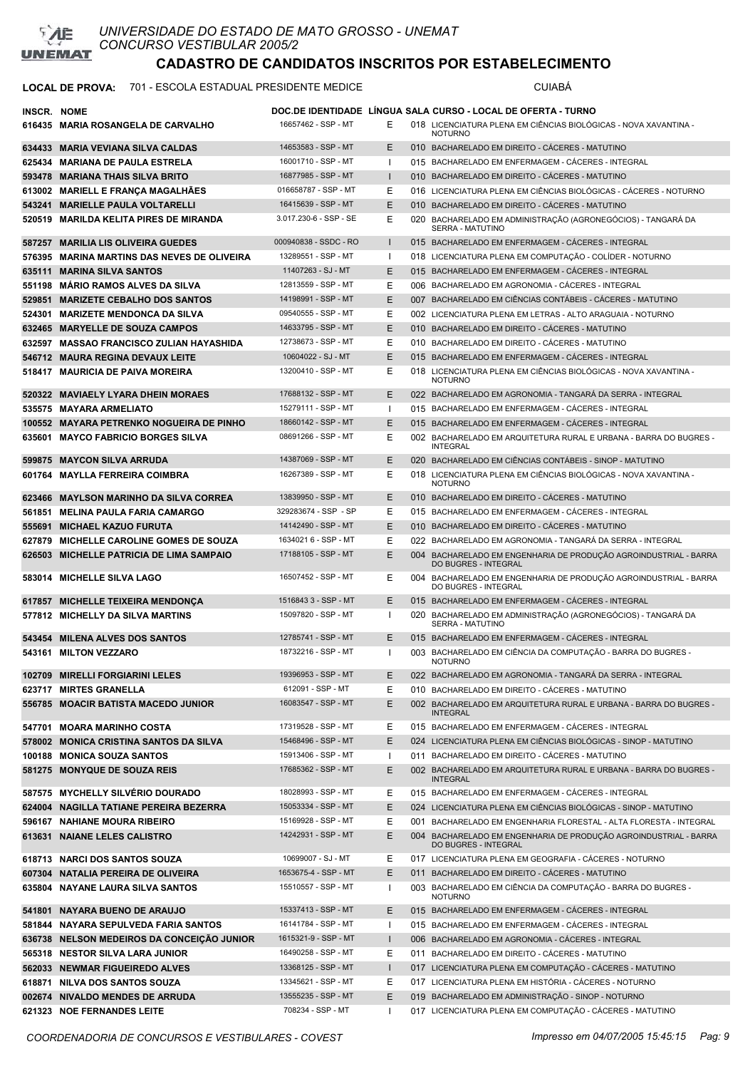

#### LOCAL DE PROVA: 701 - ESCOLA ESTADUAL PRESIDENTE MEDICE **Antiquate State COMBED** CUIABÁ

| INSCR. NOME |                                                                     |                                             |              | DOC.DE IDENTIDADE LINGUA SALA CURSO - LOCAL DE OFERTA - TURNO                                                   |
|-------------|---------------------------------------------------------------------|---------------------------------------------|--------------|-----------------------------------------------------------------------------------------------------------------|
|             | 616435 MARIA ROSANGELA DE CARVALHO                                  | 16657462 - SSP - MT                         | Е            | 018 LICENCIATURA PLENA EM CIÊNCIAS BIOLÓGICAS - NOVA XAVANTINA -                                                |
|             |                                                                     |                                             |              | <b>NOTURNO</b>                                                                                                  |
|             | 634433 MARIA VEVIANA SILVA CALDAS                                   | 14653583 - SSP - MT                         | Ε            | 010 BACHARELADO EM DIREITO - CÁCERES - MATUTINO                                                                 |
|             | 625434 MARIANA DE PAULA ESTRELA                                     | 16001710 - SSP - MT                         | H            | 015 BACHARELADO EM ENFERMAGEM - CÁCERES - INTEGRAL                                                              |
|             | 593478 MARIANA THAIS SILVA BRITO                                    | 16877985 - SSP - MT                         | п            | 010 BACHARELADO EM DIREITO - CÁCERES - MATUTINO                                                                 |
|             | 613002 MARIELL E FRANÇA MAGALHÃES                                   | 016658787 - SSP - MT<br>16415639 - SSP - MT | Ε            | 016 LICENCIATURA PLENA EM CIÊNCIAS BIOLÓGICAS - CÁCERES - NOTURNO                                               |
| 543241      | MARIELLE PAULA VOLTARELLI<br>520519 MARILDA KELITA PIRES DE MIRANDA | 3.017.230-6 - SSP - SE                      | E<br>Ε       | 010 BACHARELADO EM DIREITO - CÁCERES - MATUTINO<br>020 BACHARELADO EM ADMINISTRAÇÃO (AGRONEGÓCIOS) - TANGARÁ DA |
|             |                                                                     |                                             |              | SERRA - MATUTINO                                                                                                |
|             | 587257 MARILIA LIS OLIVEIRA GUEDES                                  | 000940838 - SSDC - RO                       | ı            | 015 BACHARELADO EM ENFERMAGEM - CÁCERES - INTEGRAL                                                              |
|             | 576395 MARINA MARTINS DAS NEVES DE OLIVEIRA                         | 13289551 - SSP - MT                         | $\mathbf{I}$ | 018 LICENCIATURA PLENA EM COMPUTAÇÃO - COLÍDER - NOTURNO                                                        |
|             | 635111 MARINA SILVA SANTOS                                          | 11407263 - SJ - MT                          | Ε            | 015 BACHARELADO EM ENFERMAGEM - CÁCERES - INTEGRAL                                                              |
|             | 551198 MARIO RAMOS ALVES DA SILVA                                   | 12813559 - SSP - MT                         | Ε            | 006 BACHARELADO EM AGRONOMIA - CÁCERES - INTEGRAL                                                               |
|             | 529851 MARIZETE CEBALHO DOS SANTOS                                  | 14198991 - SSP - MT                         | Ε            | 007 BACHARELADO EM CIÊNCIAS CONTÁBEIS - CÁCERES - MATUTINO                                                      |
|             | 524301 MARIZETE MENDONCA DA SILVA                                   | 09540555 - SSP - MT                         | Ε            | 002 LICENCIATURA PLENA EM LETRAS - ALTO ARAGUAIA - NOTURNO                                                      |
|             | 632465 MARYELLE DE SOUZA CAMPOS                                     | 14633795 - SSP - MT                         | Ε            | 010 BACHARELADO EM DIREITO - CÁCERES - MATUTINO                                                                 |
|             | 632597 MASSAO FRANCISCO ZULIAN HAYASHIDA                            | 12738673 - SSP - MT                         | Ε            | 010 BACHARELADO EM DIREITO - CÁCERES - MATUTINO                                                                 |
|             | 546712 MAURA REGINA DEVAUX LEITE                                    | 10604022 - SJ - MT                          | Ε            | 015 BACHARELADO EM ENFERMAGEM - CÁCERES - INTEGRAL                                                              |
|             | 518417 MAURICIA DE PAIVA MOREIRA                                    | 13200410 - SSP - MT                         | Ε            | 018 LICENCIATURA PLENA EM CIÊNCIAS BIOLÓGICAS - NOVA XAVANTINA -<br><b>NOTURNO</b>                              |
|             | 520322 MAVIAELY LYARA DHEIN MORAES                                  | 17688132 - SSP - MT                         | Ε            | 022 BACHARELADO EM AGRONOMIA - TANGARÁ DA SERRA - INTEGRAL                                                      |
|             | 535575 MAYARA ARMELIATO                                             | 15279111 - SSP - MT                         | $\mathbf{I}$ | 015 BACHARELADO EM ENFERMAGEM - CACERES - INTEGRAL                                                              |
|             | 100552 MAYARA PETRENKO NOGUEIRA DE PINHO                            | 18660142 - SSP - MT                         | Ε            | 015 BACHARELADO EM ENFERMAGEM - CÁCERES - INTEGRAL                                                              |
|             | 635601 MAYCO FABRICIO BORGES SILVA                                  | 08691266 - SSP - MT                         | Ε            | 002 BACHARELADO EM ARQUITETURA RURAL E URBANA - BARRA DO BUGRES -<br><b>INTEGRAL</b>                            |
|             | 599875 MAYCON SILVA ARRUDA                                          | 14387069 - SSP - MT                         | Ε            | 020 BACHARELADO EM CIÊNCIAS CONTÁBEIS - SINOP - MATUTINO                                                        |
|             | 601764 MAYLLA FERREIRA COIMBRA                                      | 16267389 - SSP - MT                         | Ε            | 018 LICENCIATURA PLENA EM CIÊNCIAS BIOLÓGICAS - NOVA XAVANTINA -<br><b>NOTURNO</b>                              |
|             | 623466 MAYLSON MARINHO DA SILVA CORREA                              | 13839950 - SSP - MT                         | Ε            | 010 BACHARELADO EM DIREITO - CÁCERES - MATUTINO                                                                 |
|             | 561851 MELINA PAULA FARIA CAMARGO                                   | 329283674 - SSP - SP                        | E            | 015 BACHARELADO EM ENFERMAGEM - CACERES - INTEGRAL                                                              |
|             | 555691 MICHAEL KAZUO FURUTA                                         | 14142490 - SSP - MT                         | Ε            | 010 BACHARELADO EM DIREITO - CÁCERES - MATUTINO                                                                 |
| 627879      | <b>MICHELLE CAROLINE GOMES DE SOUZA</b>                             | 1634021 6 - SSP - MT                        | Ε            | 022 BACHARELADO EM AGRONOMIA - TANGARÁ DA SERRA - INTEGRAL                                                      |
| 626503      | <b>MICHELLE PATRICIA DE LIMA SAMPAIO</b>                            | 17188105 - SSP - MT                         | Ε            | 004 BACHARELADO EM ENGENHARIA DE PRODUÇÃO AGROINDUSTRIAL - BARRA<br>DO BUGRES - INTEGRAL                        |
|             | 583014 MICHELLE SILVA LAGO                                          | 16507452 - SSP - MT                         | Ε            | 004 BACHARELADO EM ENGENHARIA DE PRODUÇÃO AGROINDUSTRIAL - BARRA<br>DO BUGRES - INTEGRAL                        |
|             | 617857 MICHELLE TEIXEIRA MENDONÇA                                   | 1516843 3 - SSP - MT                        | Ε            | 015 BACHARELADO EM ENFERMAGEM - CÁCERES - INTEGRAL                                                              |
|             | 577812 MICHELLY DA SILVA MARTINS                                    | 15097820 - SSP - MT                         | -1           | 020 BACHARELADO EM ADMINISTRAÇÃO (AGRONEGÓCIOS) - TANGARÁ DA<br>SERRA - MATUTINO                                |
|             | 543454 MILENA ALVES DOS SANTOS                                      | 12785741 - SSP - MT                         | Ε            | 015 BACHARELADO EM ENFERMAGEM - CÁCERES - INTEGRAL                                                              |
|             | 543161 MILTON VEZZARO                                               | 18732216 - SSP - MT                         | $\mathbf{I}$ | 003 BACHARELADO EM CIÊNCIA DA COMPUTAÇÃO - BARRA DO BUGRES -<br><b>NOTURNO</b>                                  |
|             | 102709 MIRELLI FORGIARINI LELES                                     | 19396953 - SSP - MT                         | Ε            | 022 BACHARELADO EM AGRONOMIA - TANGARÁ DA SERRA - INTEGRAL                                                      |
|             | 623717 MIRTES GRANELLA                                              | 612091 - SSP - MT                           | Е            | 010 BACHARELADO EM DIREITO - CÁCERES - MATUTINO                                                                 |
|             | 556785 MOACIR BATISTA MACEDO JUNIOR                                 | 16083547 - SSP - MT                         | Ε            | 002 BACHARELADO EM ARQUITETURA RURAL E URBANA - BARRA DO BUGRES -<br><b>INTEGRAL</b>                            |
|             | 547701 MOARA MARINHO COSTA                                          | 17319528 - SSP - MT                         | Е            | 015 BACHARELADO EM ENFERMAGEM - CÁCERES - INTEGRAL                                                              |
|             | 578002 MONICA CRISTINA SANTOS DA SILVA                              | 15468496 - SSP - MT                         | Ε            | 024 LICENCIATURA PLENA EM CIÊNCIAS BIOLÓGICAS - SINOP - MATUTINO                                                |
|             | 100188 MONICA SOUZA SANTOS                                          | 15913406 - SSP - MT                         | $\mathbf{I}$ | 011 BACHARELADO EM DIREITO - CÁCERES - MATUTINO                                                                 |
|             | 581275 MONYQUE DE SOUZA REIS                                        | 17685362 - SSP - MT                         | Ε            | 002 BACHARELADO EM ARQUITETURA RURAL E URBANA - BARRA DO BUGRES -<br><b>INTEGRAL</b>                            |
|             | 587575 MYCHELLY SILVÉRIO DOURADO                                    | 18028993 - SSP - MT                         | Ε            | 015 BACHARELADO EM ENFERMAGEM - CÁCERES - INTEGRAL                                                              |
|             | 624004 NAGILLA TATIANE PEREIRA BEZERRA                              | 15053334 - SSP - MT                         | Ε            | 024 LICENCIATURA PLENA EM CIÊNCIAS BIOLÓGICAS - SINOP - MATUTINO                                                |
|             | 596167 NAHIANE MOURA RIBEIRO                                        | 15169928 - SSP - MT                         | Ε            | 001 BACHARELADO EM ENGENHARIA FLORESTAL - ALTA FLORESTA - INTEGRAL                                              |
|             | 613631 NAIANE LELES CALISTRO                                        | 14242931 - SSP - MT                         | E            | 004 BACHARELADO EM ENGENHARIA DE PRODUÇÃO AGROINDUSTRIAL - BARRA<br>DO BUGRES - INTEGRAL                        |
|             | 618713 NARCI DOS SANTOS SOUZA                                       | 10699007 - SJ - MT                          | Ε            | 017 LICENCIATURA PLENA EM GEOGRAFIA - CÁCERES - NOTURNO                                                         |
|             | 607304 NATALIA PEREIRA DE OLIVEIRA                                  | 1653675-4 - SSP - MT                        | E            | 011 BACHARELADO EM DIREITO - CÁCERES - MATUTINO                                                                 |
|             | 635804 NAYANE LAURA SILVA SANTOS                                    | 15510557 - SSP - MT                         | $\mathbf{I}$ | 003 BACHARELADO EM CIÊNCIA DA COMPUTAÇÃO - BARRA DO BUGRES -<br><b>NOTURNO</b>                                  |
|             | 541801 NAYARA BUENO DE ARAUJO                                       | 15337413 - SSP - MT                         | Ε            | 015 BACHARELADO EM ENFERMAGEM - CÁCERES - INTEGRAL                                                              |
|             | 581844 NAYARA SEPULVEDA FARIA SANTOS                                | 16141784 - SSP - MT                         | $\mathbf{I}$ | 015 BACHARELADO EM ENFERMAGEM - CÁCERES - INTEGRAL                                                              |
|             | 636738 NELSON MEDEIROS DA CONCEIÇÃO JUNIOR                          | 1615321-9 - SSP - MT                        | -1           | 006 BACHARELADO EM AGRONOMIA - CÁCERES - INTEGRAL                                                               |
|             | 565318 NESTOR SILVA LARA JUNIOR                                     | 16490258 - SSP - MT                         | Ε            | 011 BACHARELADO EM DIREITO - CÁCERES - MATUTINO                                                                 |
|             | 562033 NEWMAR FIGUEIREDO ALVES                                      | 13368125 - SSP - MT                         | $\mathsf{I}$ | 017 LICENCIATURA PLENA EM COMPUTAÇÃO - CÁCERES - MATUTINO                                                       |
|             | 618871 NILVA DOS SANTOS SOUZA                                       | 13345621 - SSP - MT                         | Е            | 017 LICENCIATURA PLENA EM HISTÓRIA - CÁCERES - NOTURNO                                                          |
|             | 002674 NIVALDO MENDES DE ARRUDA                                     | 13555235 - SSP - MT<br>708234 - SSP - MT    | Ε            | 019 BACHARELADO EM ADMINISTRAÇÃO - SINOP - NOTURNO                                                              |
|             | 621323 NOE FERNANDES LEITE                                          |                                             | -1           | 017 LICENCIATURA PLENA EM COMPUTAÇÃO - CÁCERES - MATUTINO                                                       |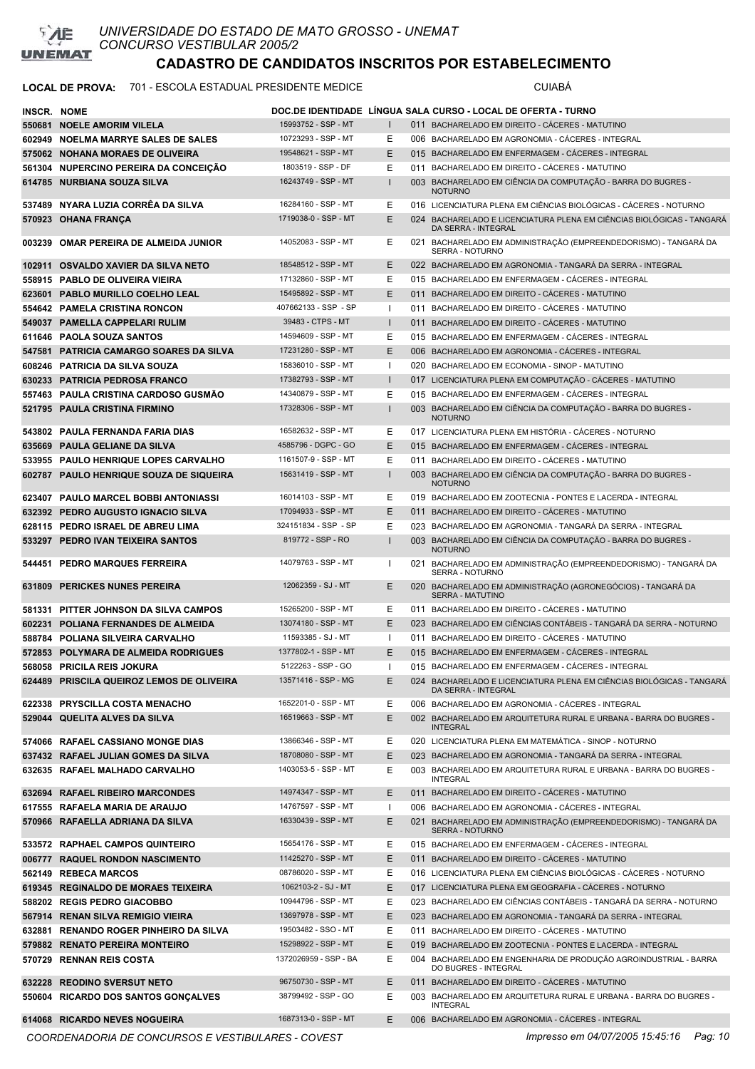

### LOCAL DE PROVA: 701 - ESCOLA ESTADUAL PRESIDENTE MEDICE **Antiquate State COMBENTE**

| <b>INSCR. NOME</b> |                                           |                       |              | DOC.DE IDENTIDADE LINGUA SALA CURSO - LOCAL DE OFERTA - TURNO                                |
|--------------------|-------------------------------------------|-----------------------|--------------|----------------------------------------------------------------------------------------------|
|                    | 550681 NOELE AMORIM VILELA                | 15993752 - SSP - MT   |              | 011 BACHARELADO EM DIREITO - CÁCERES - MATUTINO                                              |
|                    | 602949 NOELMA MARRYE SALES DE SALES       | 10723293 - SSP - MT   | Ε            | 006 BACHARELADO EM AGRONOMIA - CACERES - INTEGRAL                                            |
|                    | 575062 NOHANA MORAES DE OLIVEIRA          | 19548621 - SSP - MT   | E            | 015 BACHARELADO EM ENFERMAGEM - CÁCERES - INTEGRAL                                           |
|                    | 561304 NUPERCINO PEREIRA DA CONCEIÇÃO     | 1803519 - SSP - DF    | Е            | 011 BACHARELADO EM DIREITO - CÁCERES - MATUTINO                                              |
|                    | 614785 NURBIANA SOUZA SILVA               | 16243749 - SSP - MT   |              | 003 BACHARELADO EM CIÊNCIA DA COMPUTAÇÃO - BARRA DO BUGRES -                                 |
|                    |                                           |                       |              | <b>NOTURNO</b>                                                                               |
|                    | 537489 NYARA LUZIA CORRÊA DA SILVA        | 16284160 - SSP - MT   | Е            | 016 LICENCIATURA PLENA EM CIÊNCIAS BIOLÓGICAS - CÁCERES - NOTURNO                            |
|                    | 570923 OHANA FRANÇA                       | 1719038-0 - SSP - MT  | E            | 024 BACHARELADO E LICENCIATURA PLENA EM CIÊNCIAS BIOLÓGICAS - TANGARA<br>DA SERRA - INTEGRAL |
|                    | 003239 OMAR PEREIRA DE ALMEIDA JUNIOR     | 14052083 - SSP - MT   | Е            | 021 BACHARELADO EM ADMINISTRAÇÃO (EMPREENDEDORISMO) - TANGARÁ DA<br>SERRA - NOTURNO          |
|                    | 102911 OSVALDO XAVIER DA SILVA NETO       | 18548512 - SSP - MT   | E            | 022 BACHARELADO EM AGRONOMIA - TANGARÀ DA SERRA - INTEGRAL                                   |
|                    | 558915 PABLO DE OLIVEIRA VIEIRA           | 17132860 - SSP - MT   | Е            | 015 BACHARELADO EM ENFERMAGEM - CÁCERES - INTEGRAL                                           |
|                    |                                           | 15495892 - SSP - MT   |              |                                                                                              |
|                    | 623601 PABLO MURILLO COELHO LEAL          |                       | E            | 011 BACHARELADO EM DIREITO - CÁCERES - MATUTINO                                              |
|                    | 554642 PAMELA CRISTINA RONCON             | 407662133 - SSP - SP  | -1           | 011 BACHARELADO EM DIREITO - CÁCERES - MATUTINO                                              |
|                    | 549037 PAMELLA CAPPELARI RULIM            | 39483 - CTPS - MT     | $\mathbf{I}$ | 011 BACHARELADO EM DIREITO - CÁCERES - MATUTINO                                              |
|                    | 611646 PAOLA SOUZA SANTOS                 | 14594609 - SSP - MT   | Е            | 015 BACHARELADO EM ENFERMAGEM - CACERES - INTEGRAL                                           |
|                    | 547581 PATRICIA CAMARGO SOARES DA SILVA   | 17231280 - SSP - MT   | E            | 006 BACHARELADO EM AGRONOMIA - CACERES - INTEGRAL                                            |
|                    | 608246 PATRICIA DA SILVA SOUZA            | 15836010 - SSP - MT   | ı            | 020 BACHARELADO EM ECONOMIA - SINOP - MATUTINO                                               |
|                    | 630233 PATRICIA PEDROSA FRANCO            | 17382793 - SSP - MT   | $\mathbf{I}$ | 017 LICENCIATURA PLENA EM COMPUTAÇÃO - CÁCERES - MATUTINO                                    |
|                    | 557463 PAULA CRISTINA CARDOSO GUSMÃO      | 14340879 - SSP - MT   | Е            | 015 BACHARELADO EM ENFERMAGEM - CÁCERES - INTEGRAL                                           |
|                    | 521795 PAULA CRISTINA FIRMINO             | 17328306 - SSP - MT   |              | 003 BACHARELADO EM CIÊNCIA DA COMPUTAÇÃO - BARRA DO BUGRES -<br><b>NOTURNO</b>               |
|                    | 543802 PAULA FERNANDA FARIA DIAS          | 16582632 - SSP - MT   | Е            | 017 LICENCIATURA PLENA EM HISTÓRIA - CÁCERES - NOTURNO                                       |
|                    | 635669 PAULA GELIANE DA SILVA             | 4585796 - DGPC - GO   | E            | 015 BACHARELADO EM ENFERMAGEM - CACERES - INTEGRAL                                           |
|                    | 533955 PAULO HENRIQUE LOPES CARVALHO      | 1161507-9 - SSP - MT  | Е            | 011 BACHARELADO EM DIREITO - CÁCERES - MATUTINO                                              |
|                    | 602787 PAULO HENRIQUE SOUZA DE SIQUEIRA   | 15631419 - SSP - MT   | $\mathbf{I}$ | 003 BACHARELADO EM CIÊNCIA DA COMPUTAÇÃO - BARRA DO BUGRES -                                 |
|                    |                                           |                       |              | <b>NOTURNO</b>                                                                               |
|                    | 623407 PAULO MARCEL BOBBI ANTONIASSI      | 16014103 - SSP - MT   | Е            | 019 BACHARELADO EM ZOOTECNIA - PONTES E LACERDA - INTEGRAL                                   |
|                    | 632392 PEDRO AUGUSTO IGNACIO SILVA        | 17094933 - SSP - MT   | E            | 011 BACHARELADO EM DIREITO - CÁCERES - MATUTINO                                              |
|                    | 628115 PEDRO ISRAEL DE ABREU LIMA         | 324151834 - SSP - SP  | Е            | 023 BACHARELADO EM AGRONOMIA - TANGARÁ DA SERRA - INTEGRAL                                   |
|                    | 533297 PEDRO IVAN TEIXEIRA SANTOS         | 819772 - SSP - RO     | I.           | 003 BACHARELADO EM CIÊNCIA DA COMPUTAÇÃO - BARRA DO BUGRES -<br><b>NOTURNO</b>               |
|                    | 544451 PEDRO MARQUES FERREIRA             | 14079763 - SSP - MT   | J.           | 021 BACHARELADO EM ADMINISTRAÇÃO (EMPREENDEDORISMO) - TANGARÁ DA<br>SERRA - NOTURNO          |
|                    | 631809 PERICKES NUNES PEREIRA             | 12062359 - SJ - MT    | E            | 020 BACHARELADO EM ADMINISTRAÇÃO (AGRONEGÓCIOS) - TANGARÁ DA<br>SERRA - MATUTINO             |
|                    | 581331 PITTER JOHNSON DA SILVA CAMPOS     | 15265200 - SSP - MT   | Е            | 011 BACHARELADO EM DIREITO - CACERES - MATUTINO                                              |
|                    | 602231 POLIANA FERNANDES DE ALMEIDA       | 13074180 - SSP - MT   | E.           | 023 BACHARELADO EM CIÊNCIAS CONTÁBEIS - TANGARÁ DA SERRA - NOTURNO                           |
|                    | 588784 POLIANA SILVEIRA CARVALHO          | 11593385 - SJ - MT    | J.           | 011 BACHARELADO EM DIREITO - CÁCERES - MATUTINO                                              |
|                    | 572853 POLYMARA DE ALMEIDA RODRIGUES      | 1377802-1 - SSP - MT  | E            | 015 BACHARELADO EM ENFERMAGEM - CÁCERES - INTEGRAL                                           |
| 568058             | <b>PRICILA REIS JOKURA</b>                | 5122263 - SSP - GO    |              | 015 BACHARELADO EM ENFERMAGEM - CÁCERES - INTEGRAL                                           |
|                    | 624489 PRISCILA QUEIROZ LEMOS DE OLIVEIRA | 13571416 - SSP - MG   | E.           | 024 BACHARELADO E LICENCIATURA PLENA EM CIÊNCIAS BIOLÓGICAS - TANGARÁ<br>DA SERRA - INTEGRAL |
|                    | 622338 PRYSCILLA COSTA MENACHO            | 1652201-0 - SSP - MT  | E.           | 006 BACHARELADO EM AGRONOMIA - CÁCERES - INTEGRAL                                            |
|                    | 529044 QUELITA ALVES DA SILVA             | 16519663 - SSP - MT   | E            | 002 BACHARELADO EM ARQUITETURA RURAL E URBANA - BARRA DO BUGRES -<br><b>INTEGRAL</b>         |
|                    | 574066 RAFAEL CASSIANO MONGE DIAS         | 13866346 - SSP - MT   | E.           | 020 LICENCIATURA PLENA EM MATEMÁTICA - SINOP - NOTURNO                                       |
|                    | 637432 RAFAEL JULIAN GOMES DA SILVA       | 18708080 - SSP - MT   | E.           | 023 BACHARELADO EM AGRONOMIA - TANGARÁ DA SERRA - INTEGRAL                                   |
|                    | 632635 RAFAEL MALHADO CARVALHO            | 1403053-5 - SSP - MT  | Е            | 003 BACHARELADO EM ARQUITETURA RURAL E URBANA - BARRA DO BUGRES -                            |
|                    |                                           |                       |              | <b>INTEGRAL</b>                                                                              |
|                    | 632694 RAFAEL RIBEIRO MARCONDES           | 14974347 - SSP - MT   | E            | 011 BACHARELADO EM DIREITO - CÁCERES - MATUTINO                                              |
|                    | 617555 RAFAELA MARIA DE ARAUJO            | 14767597 - SSP - MT   | ı.           | 006 BACHARELADO EM AGRONOMIA - CÁCERES - INTEGRAL                                            |
|                    | 570966 RAFAELLA ADRIANA DA SILVA          | 16330439 - SSP - MT   | E.           | 021 BACHARELADO EM ADMINISTRAÇÃO (EMPREENDEDORISMO) - TANGARÁ DA<br><b>SERRA - NOTURNO</b>   |
|                    | 533572 RAPHAEL CAMPOS QUINTEIRO           | 15654176 - SSP - MT   | E.           | 015 BACHARELADO EM ENFERMAGEM - CÁCERES - INTEGRAL                                           |
|                    | 006777 RAQUEL RONDON NASCIMENTO           | 11425270 - SSP - MT   | E            | 011 BACHARELADO EM DIREITO - CÁCERES - MATUTINO                                              |
|                    | 562149 REBECA MARCOS                      | 08786020 - SSP - MT   | Е            | 016 LICENCIATURA PLENA EM CIÊNCIAS BIOLÓGICAS - CÁCERES - NOTURNO                            |
|                    | 619345 REGINALDO DE MORAES TEIXEIRA       | 1062103-2 - SJ - MT   | Е            | 017 LICENCIATURA PLENA EM GEOGRAFIA - CÁCERES - NOTURNO                                      |
|                    | 588202 REGIS PEDRO GIACOBBO               | 10944796 - SSP - MT   | Е            | 023 BACHARELADO EM CIÊNCIAS CONTÁBEIS - TANGARÁ DA SERRA - NOTURNO                           |
|                    | 567914 RENAN SILVA REMIGIO VIEIRA         | 13697978 - SSP - MT   | Е            | 023 BACHARELADO EM AGRONOMIA - TANGARÀ DA SERRA - INTEGRAL                                   |
|                    | 632881 RENANDO ROGER PINHEIRO DA SILVA    | 19503482 - SSO - MT   | Е            | 011 BACHARELADO EM DIREITO - CÁCERES - MATUTINO                                              |
|                    | 579882 RENATO PEREIRA MONTEIRO            | 15298922 - SSP - MT   | E            | 019 BACHARELADO EM ZOOTECNIA - PONTES E LACERDA - INTEGRAL                                   |
|                    | 570729 RENNAN REIS COSTA                  | 1372026959 - SSP - BA | Ε            | 004 BACHARELADO EM ENGENHARIA DE PRODUÇÃO AGROINDUSTRIAL - BARRA<br>DO BUGRES - INTEGRAL     |
|                    | 632228 REODINO SVERSUT NETO               | 96750730 - SSP - MT   | E.           | 011 BACHARELADO EM DIREITO - CÁCERES - MATUTINO                                              |
|                    | 550604 RICARDO DOS SANTOS GONÇALVES       | 38799492 - SSP - GO   | Е            | 003 BACHARELADO EM ARQUITETURA RURAL E URBANA - BARRA DO BUGRES -                            |
|                    |                                           |                       |              | <b>INTEGRAL</b>                                                                              |
|                    | 614068 RICARDO NEVES NOGUEIRA             | 1687313-0 - SSP - MT  | E.           | 006 BACHARELADO EM AGRONOMIA - CÁCERES - INTEGRAL                                            |

*COORDENADORIA DE CONCURSOS E VESTIBULARES - COVEST Impresso em 04/07/2005 15:45:16 Pag: 10*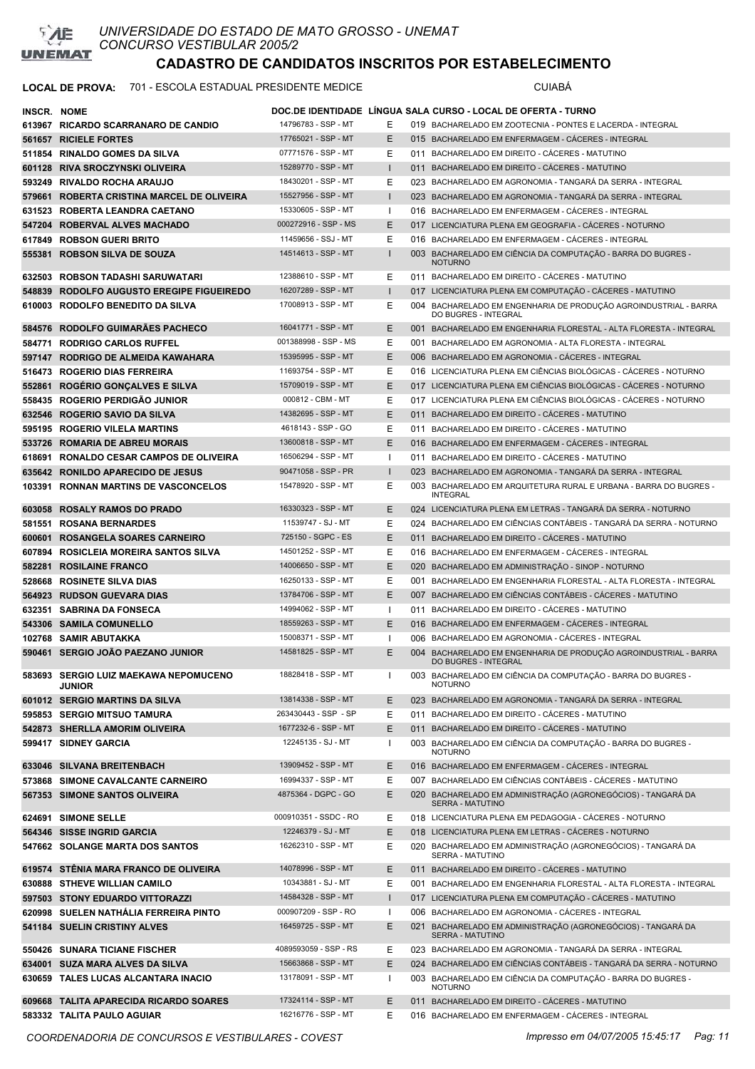

#### LOCAL DE PROVA: 701 - ESCOLA ESTADUAL PRESIDENTE MEDICE **A COLOCAL DE PROVA:** CUIABÁ

| INSCR. NOME |                                                        |                       |                   | DOC.DE IDENTIDADE LINGUA SALA CURSO - LOCAL DE OFERTA - TURNO                            |
|-------------|--------------------------------------------------------|-----------------------|-------------------|------------------------------------------------------------------------------------------|
|             | 613967 RICARDO SCARRANARO DE CANDIO                    | 14796783 - SSP - MT   | Е                 | 019 BACHARELADO EM ZOOTECNIA - PONTES E LACERDA - INTEGRAL                               |
|             | 561657 RICIELE FORTES                                  | 17765021 - SSP - MT   | Ε                 | 015 BACHARELADO EM ENFERMAGEM - CACERES - INTEGRAL                                       |
|             | 511854 RINALDO GOMES DA SILVA                          | 07771576 - SSP - MT   | Ε                 | 011 BACHARELADO EM DIREITO - CÁCERES - MATUTINO                                          |
|             | 601128 RIVA SROCZYNSKI OLIVEIRA                        | 15289770 - SSP - MT   | $\mathbf{I}$      | 011 BACHARELADO EM DIREITO - CACERES - MATUTINO                                          |
|             | 593249 RIVALDO ROCHA ARAUJO                            | 18430201 - SSP - MT   | Ε                 | 023 BACHARELADO EM AGRONOMIA - TANGARÁ DA SERRA - INTEGRAL                               |
|             | 579661 ROBERTA CRISTINA MARCEL DE OLIVEIRA             | 15527956 - SSP - MT   | $\mathsf{I}$      | 023 BACHARELADO EM AGRONOMIA - TANGARA DA SERRA - INTEGRAL                               |
|             | 631523 ROBERTA LEANDRA CAETANO                         | 15330605 - SSP - MT   | $\mathbf{I}$      | 016 BACHARELADO EM ENFERMAGEM - CÁCERES - INTEGRAL                                       |
|             | 547204 ROBERVAL ALVES MACHADO                          | 000272916 - SSP - MS  | E                 | 017 LICENCIATURA PLENA EM GEOGRAFIA - CÁCERES - NOTURNO                                  |
|             | 617849 ROBSON GUERI BRITO                              | 11459656 - SSJ - MT   | Ε                 | 016 BACHARELADO EM ENFERMAGEM - CÁCERES - INTEGRAL                                       |
|             | 555381 ROBSON SILVA DE SOUZA                           | 14514613 - SSP - MT   |                   | 003 BACHARELADO EM CIÊNCIA DA COMPUTAÇÃO - BARRA DO BUGRES -                             |
|             |                                                        | 12388610 - SSP - MT   |                   | <b>NOTURNO</b><br>011 BACHARELADO EM DIREITO - CÁCERES - MATUTINO                        |
|             | 632503 ROBSON TADASHI SARUWATARI                       | 16207289 - SSP - MT   | Ε                 |                                                                                          |
|             | 548839 RODOLFO AUGUSTO EREGIPE FIGUEIREDO              | 17008913 - SSP - MT   | $\mathsf{I}$<br>Ε | 017 LICENCIATURA PLENA EM COMPUTAÇÃO - CACERES - MATUTINO                                |
|             | 610003 RODOLFO BENEDITO DA SILVA                       |                       |                   | 004 BACHARELADO EM ENGENHARIA DE PRODUÇÃO AGROINDUSTRIAL - BARRA<br>DO BUGRES - INTEGRAL |
|             | 584576 RODOLFO GUIMARAES PACHECO                       | 16041771 - SSP - MT   | Ε                 | 001 BACHARELADO EM ENGENHARIA FLORESTAL - ALTA FLORESTA - INTEGRAL                       |
|             | 584771 RODRIGO CARLOS RUFFEL                           | 001388998 - SSP - MS  | Ε                 | 001 BACHARELADO EM AGRONOMIA - ALTA FLORESTA - INTEGRAL                                  |
|             | 597147 RODRIGO DE ALMEIDA KAWAHARA                     | 15395995 - SSP - MT   | E                 | 006 BACHARELADO EM AGRONOMIA - CÁCERES - INTEGRAL                                        |
|             | 516473 ROGERIO DIAS FERREIRA                           | 11693754 - SSP - MT   | Ε                 | 016 LICENCIATURA PLENA EM CIÊNCIAS BIOLÓGICAS - CÁCERES - NOTURNO                        |
|             | 552861 ROGERIO GONCALVES E SILVA                       | 15709019 - SSP - MT   | Ε                 | 017 LICENCIATURA PLENA EM CIÊNCIAS BIOLÓGICAS - CÁCERES - NOTURNO                        |
|             | 558435 ROGERIO PERDIGÃO JUNIOR                         | 000812 - CBM - MT     | Ε                 | 017 LICENCIATURA PLENA EM CIÊNCIAS BIOLÓGICAS - CÁCERES - NOTURNO                        |
|             | 632546 ROGERIO SAVIO DA SILVA                          | 14382695 - SSP - MT   | Ε                 | 011 BACHARELADO EM DIREITO - CÁCERES - MATUTINO                                          |
|             | 595195 ROGERIO VILELA MARTINS                          | 4618143 - SSP - GO    | Ε                 | 011 BACHARELADO EM DIREITO - CÁCERES - MATUTINO                                          |
|             | 533726 ROMARIA DE ABREU MORAIS                         | 13600818 - SSP - MT   | Ε                 | 016 BACHARELADO EM ENFERMAGEM - CACERES - INTEGRAL                                       |
|             | 618691 RONALDO CESAR CAMPOS DE OLIVEIRA                | 16506294 - SSP - MT   | $\mathbf{I}$      | 011 BACHARELADO EM DIREITO - CÁCERES - MATUTINO                                          |
|             | 635642 RONILDO APARECIDO DE JESUS                      | 90471058 - SSP - PR   | $\mathbf{I}$      | 023 BACHARELADO EM AGRONOMIA - TANGARÁ DA SERRA - INTEGRAL                               |
|             | 103391 RONNAN MARTINS DE VASCONCELOS                   | 15478920 - SSP - MT   | E                 | 003 BACHARELADO EM ARQUITETURA RURAL E URBANA - BARRA DO BUGRES -<br><b>INTEGRAL</b>     |
|             | 603058 ROSALY RAMOS DO PRADO                           | 16330323 - SSP - MT   | E                 | 024 LICENCIATURA PLENA EM LETRAS - TANGARÀ DA SERRA - NOTURNO                            |
|             | 581551 ROSANA BERNARDES                                | 11539747 - SJ - MT    | Ε                 | 024 BACHARELADO EM CIÊNCIAS CONTÁBEIS - TANGARÁ DA SERRA - NOTURNO                       |
|             | 600601 ROSANGELA SOARES CARNEIRO                       | 725150 - SGPC - ES    | E                 | 011 BACHARELADO EM DIREITO - CÁCERES - MATUTINO                                          |
|             | 607894 ROSICLEIA MOREIRA SANTOS SILVA                  | 14501252 - SSP - MT   | Ε                 | 016 BACHARELADO EM ENFERMAGEM - CÁCERES - INTEGRAL                                       |
|             | 582281 ROSILAINE FRANCO                                | 14006650 - SSP - MT   | E                 | 020 BACHARELADO EM ADMINISTRAÇÃO - SINOP - NOTURNO                                       |
|             | 528668 ROSINETE SILVA DIAS                             | 16250133 - SSP - MT   | Ε                 | 001 BACHARELADO EM ENGENHARIA FLORESTAL - ALTA FLORESTA - INTEGRAL                       |
|             | 564923 RUDSON GUEVARA DIAS                             | 13784706 - SSP - MT   | Ε                 | 007 BACHARELADO EM CIÊNCIAS CONTÁBEIS - CACERES - MATUTINO                               |
|             | 632351 SABRINA DA FONSECA                              | 14994062 - SSP - MT   | $\mathbf{I}$      | 011 BACHARELADO EM DIREITO - CÁCERES - MATUTINO                                          |
|             | 543306 SAMILA COMUNELLO                                | 18559263 - SSP - MT   | Ε                 | 016 BACHARELADO EM ENFERMAGEM - CACERES - INTEGRAL                                       |
|             | 102768 SAMIR ABUTAKKA                                  | 15008371 - SSP - MT   | $\mathbf{I}$      | 006 BACHARELADO EM AGRONOMIA - CÁCERES - INTEGRAL                                        |
|             | 590461 SERGIO JOÃO PAEZANO JUNIOR                      | 14581825 - SSP - MT   | Ε                 | 004 BACHARELADO EM ENGENHARIA DE PRODUÇÃO AGROINDUSTRIAL - BARRA<br>DO BUGRES - INTEGRAL |
|             | 583693 SERGIO LUIZ MAEKAWA NEPOMUCENO<br><b>JUNIOR</b> | 18828418 - SSP - MT   | $\mathbf{I}$      | 003 BACHARELADO EM CIÊNCIA DA COMPUTAÇÃO - BARRA DO BUGRES -<br><b>NOTURNO</b>           |
|             | 601012 SERGIO MARTINS DA SILVA                         | 13814338 - SSP - MT   | Е                 | 023 BACHARELADO EM AGRONOMIA - TANGARÁ DA SERRA - INTEGRAL                               |
|             | 595853 SERGIO MITSUO TAMURA                            | 263430443 - SSP - SP  | Ε                 | 011 BACHARELADO EM DIREITO - CÁCERES - MATUTINO                                          |
|             | 542873 SHERLLA AMORIM OLIVEIRA                         | 1677232-6 - SSP - MT  | Е                 | 011 BACHARELADO EM DIREITO - CÁCERES - MATUTINO                                          |
|             | 599417 SIDNEY GARCIA                                   | 12245135 - SJ - MT    | $\mathbf{I}$      | 003 BACHARELADO EM CIÊNCIA DA COMPUTAÇÃO - BARRA DO BUGRES -<br><b>NOTURNO</b>           |
|             | 633046 SILVANA BREITENBACH                             | 13909452 - SSP - MT   | Е                 | 016 BACHARELADO EM ENFERMAGEM - CÁCERES - INTEGRAL                                       |
|             | 573868 SIMONE CAVALCANTE CARNEIRO                      | 16994337 - SSP - MT   | Ε                 | 007 BACHARELADO EM CIÊNCIAS CONTÁBEIS - CÁCERES - MATUTINO                               |
|             | 567353 SIMONE SANTOS OLIVEIRA                          | 4875364 - DGPC - GO   | Е                 | 020 BACHARELADO EM ADMINISTRAÇÃO (AGRONEGÓCIOS) - TANGARÁ DA<br>SERRA - MATUTINO         |
|             | 624691 SIMONE SELLE                                    | 000910351 - SSDC - RO | Е                 | 018 LICENCIATURA PLENA EM PEDAGOGIA - CÁCERES - NOTURNO                                  |
|             | 564346 SISSE INGRID GARCIA                             | 12246379 - SJ - MT    | Е                 | 018 LICENCIATURA PLENA EM LETRAS - CÁCERES - NOTURNO                                     |
|             | 547662 SOLANGE MARTA DOS SANTOS                        | 16262310 - SSP - MT   | Е                 | 020 BACHARELADO EM ADMINISTRAÇÃO (AGRONEGÓCIOS) - TANGARÁ DA<br>SERRA - MATUTINO         |
|             | 619574 STÊNIA MARA FRANCO DE OLIVEIRA                  | 14078996 - SSP - MT   | Е                 | 011 BACHARELADO EM DIREITO - CÁCERES - MATUTINO                                          |
|             | 630888 STHEVE WILLIAN CAMILO                           | 10343881 - SJ - MT    | Ε                 | 001 BACHARELADO EM ENGENHARIA FLORESTAL - ALTA FLORESTA - INTEGRAL                       |
|             | 597503 STONY EDUARDO VITTORAZZI                        | 14584328 - SSP - MT   | $\mathsf{I}$      | 017 LICENCIATURA PLENA EM COMPUTAÇÃO - CÁCERES - MATUTINO                                |
|             | 620998 SUELEN NATHÁLIA FERREIRA PINTO                  | 000907209 - SSP - RO  | $\mathbf{I}$      | 006 BACHARELADO EM AGRONOMIA - CÁCERES - INTEGRAL                                        |
|             | 541184 SUELIN CRISTINY ALVES                           | 16459725 - SSP - MT   | Е                 | 021 BACHARELADO EM ADMINISTRAÇÃO (AGRONEGÓCIOS) - TANGARÁ DA<br><b>SERRA - MATUTINO</b>  |
|             | 550426 SUNARA TICIANE FISCHER                          | 4089593059 - SSP - RS | Ε                 | 023 BACHARELADO EM AGRONOMIA - TANGARÁ DA SERRA - INTEGRAL                               |
|             | 634001 SUZA MARA ALVES DA SILVA                        | 15663868 - SSP - MT   | E                 | 024 BACHARELADO EM CIÊNCIAS CONTÁBEIS - TANGARÁ DA SERRA - NOTURNO                       |
|             | 630659 TALES LUCAS ALCANTARA INACIO                    | 13178091 - SSP - MT   | $\mathbf{I}$      | 003 BACHARELADO EM CIÊNCIA DA COMPUTAÇÃO - BARRA DO BUGRES -<br><b>NOTURNO</b>           |
|             | 609668 TALITA APARECIDA RICARDO SOARES                 | 17324114 - SSP - MT   | E                 | 011 BACHARELADO EM DIREITO - CÁCERES - MATUTINO                                          |
|             | 583332 TALITA PAULO AGUIAR                             | 16216776 - SSP - MT   | Ε                 | 016 BACHARELADO EM ENFERMAGEM - CÁCERES - INTEGRAL                                       |
|             |                                                        |                       |                   |                                                                                          |

*COORDENADORIA DE CONCURSOS E VESTIBULARES - COVEST Impresso em 04/07/2005 15:45:17 Pag: 11*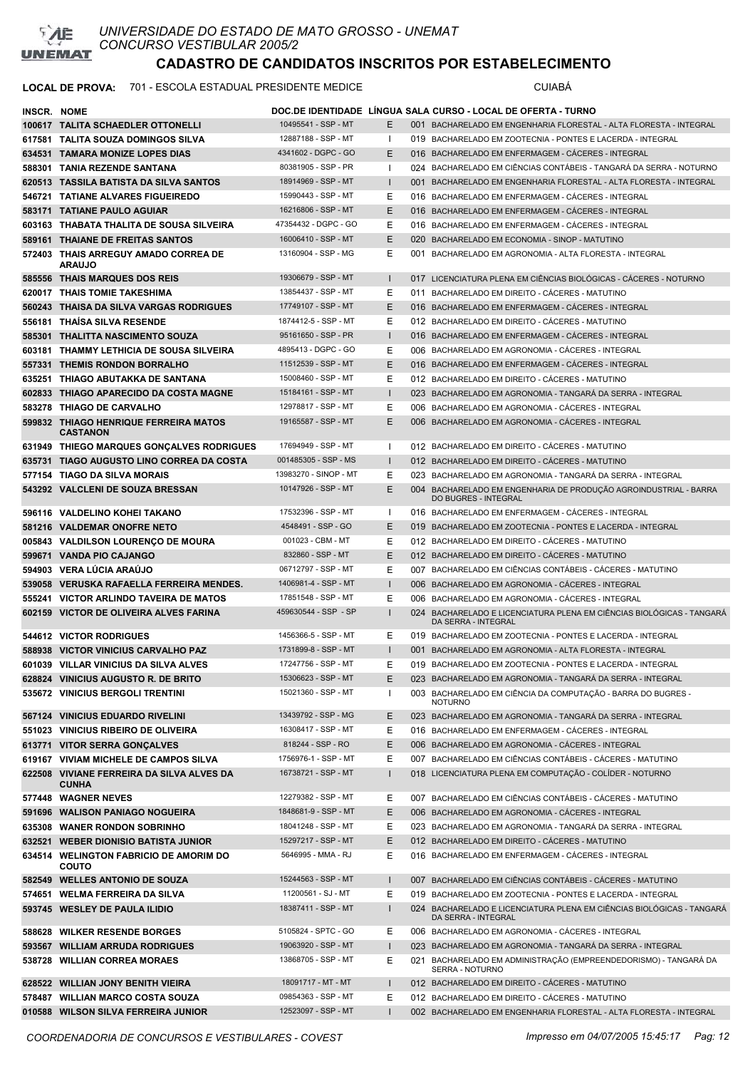

### LOCAL DE PROVA: 701 - ESCOLA ESTADUAL PRESIDENTE MEDICE **Antiquate State COMBENTE**

| INSCR. NOME |                                                           |                       |              |     | DOC.DE IDENTIDADE LINGUA SALA CURSO - LOCAL DE OFERTA - TURNO                                |
|-------------|-----------------------------------------------------------|-----------------------|--------------|-----|----------------------------------------------------------------------------------------------|
|             | 100617 TALITA SCHAEDLER OTTONELLI                         | 10495541 - SSP - MT   | E.           |     | 001 BACHARELADO EM ENGENHARIA FLORESTAL - ALTA FLORESTA - INTEGRAL                           |
|             | 617581 TALITA SOUZA DOMINGOS SILVA                        | 12887188 - SSP - MT   | ш            |     | 019 BACHARELADO EM ZOOTECNIA - PONTES E LACERDA - INTEGRAL                                   |
|             | 634531 TAMARA MONIZE LOPES DIAS                           | 4341602 - DGPC - GO   | E.           |     | 016 BACHARELADO EM ENFERMAGEM - CÁCERES - INTEGRAL                                           |
|             | 588301 TANIA REZENDE SANTANA                              | 80381905 - SSP - PR   | -1           |     | 024 BACHARELADO EM CIÊNCIAS CONTÁBEIS - TANGARÁ DA SERRA - NOTURNO                           |
|             | 620513 TASSILA BATISTA DA SILVA SANTOS                    | 18914969 - SSP - MT   |              |     | 001 BACHARELADO EM ENGENHARIA FLORESTAL - ALTA FLORESTA - INTEGRAL                           |
|             | 546721 TATIANE ALVARES FIGUEIREDO                         | 15990443 - SSP - MT   | Е            |     | 016 BACHARELADO EM ENFERMAGEM - CACERES - INTEGRAL                                           |
|             | 583171 TATIANE PAULO AGUIAR                               | 16216806 - SSP - MT   | E.           |     | 016 BACHARELADO EM ENFERMAGEM - CACERES - INTEGRAL                                           |
|             | 603163 THABATA THALITA DE SOUSA SILVEIRA                  | 47354432 - DGPC - GO  | Ε            |     | 016 BACHARELADO EM ENFERMAGEM - CACERES - INTEGRAL                                           |
|             | 589161 THAIANE DE FREITAS SANTOS                          | 16006410 - SSP - MT   | E            |     | 020 BACHARELADO EM ECONOMIA - SINOP - MATUTINO                                               |
|             | 572403 THAIS ARREGUY AMADO CORREA DE                      | 13160904 - SSP - MG   | Е            | 001 | BACHARELADO EM AGRONOMIA - ALTA FLORESTA - INTEGRAL                                          |
|             | <b>ARAUJO</b>                                             |                       |              |     |                                                                                              |
|             | 585556 THAIS MARQUES DOS REIS                             | 19306679 - SSP - MT   | $\mathbf{I}$ |     | 017 LICENCIATURA PLENA EM CIÊNCIAS BIOLÓGICAS - CÁCERES - NOTURNO                            |
|             | 620017 THAIS TOMIE TAKESHIMA                              | 13854437 - SSP - MT   | Е            | 011 | BACHARELADO EM DIREITO - CACERES - MATUTINO                                                  |
|             | 560243 THAISA DA SILVA VARGAS RODRIGUES                   | 17749107 - SSP - MT   | E.           |     | 016 BACHARELADO EM ENFERMAGEM - CACERES - INTEGRAL                                           |
|             | 556181 THAISA SILVA RESENDE                               | 1874412-5 - SSP - MT  | E.           |     | 012 BACHARELADO EM DIREITO - CACERES - MATUTINO                                              |
|             | 585301 THALITTA NASCIMENTO SOUZA                          | 95161650 - SSP - PR   | $\mathbf{I}$ |     | 016 BACHARELADO EM ENFERMAGEM - CACERES - INTEGRAL                                           |
|             | 603181 THAMMY LETHICIA DE SOUSA SILVEIRA                  | 4895413 - DGPC - GO   | Е            |     | 006 BACHARELADO EM AGRONOMIA - CACERES - INTEGRAL                                            |
|             | 557331 THEMIS RONDON BORRALHO                             | 11512539 - SSP - MT   | E            |     | 016 BACHARELADO EM ENFERMAGEM - CACERES - INTEGRAL                                           |
|             | 635251 THIAGO ABUTAKKA DE SANTANA                         | 15008460 - SSP - MT   | Е            |     | 012 BACHARELADO EM DIREITO - CÁCERES - MATUTINO                                              |
|             | 602833 THIAGO APARECIDO DA COSTA MAGNE                    | 15184161 - SSP - MT   | $\mathbf{I}$ |     | 023 BACHARELADO EM AGRONOMIA - TANGARÁ DA SERRA - INTEGRAL                                   |
|             | 583278 THIAGO DE CARVALHO                                 | 12978817 - SSP - MT   | Е            |     | 006 BACHARELADO EM AGRONOMIA - CÁCERES - INTEGRAL                                            |
|             | 599832 THIAGO HENRIQUE FERREIRA MATOS                     | 19165587 - SSP - MT   | E            |     | 006 BACHARELADO EM AGRONOMIA - CÁCERES - INTEGRAL                                            |
|             | <b>CASTANON</b>                                           |                       |              |     |                                                                                              |
|             | 631949 THIEGO MARQUES GONÇALVES RODRIGUES                 | 17694949 - SSP - MT   | Ι.           |     | 012 BACHARELADO EM DIREITO - CACERES - MATUTINO                                              |
|             | 635731 TIAGO AUGUSTO LINO CORREA DA COSTA                 | 001485305 - SSP - MS  | I.           |     | 012 BACHARELADO EM DIREITO - CÁCERES - MATUTINO                                              |
|             | 577154 TIAGO DA SILVA MORAIS                              | 13983270 - SINOP - MT | Е            |     | 023 BACHARELADO EM AGRONOMIA - TANGARÁ DA SERRA - INTEGRAL                                   |
|             | 543292 VALCLENI DE SOUZA BRESSAN                          | 10147926 - SSP - MT   | E            |     | 004 BACHARELADO EM ENGENHARIA DE PRODUÇÃO AGROINDUSTRIAL - BARRA<br>DO BUGRES - INTEGRAL     |
|             | 596116 VALDELINO KOHEI TAKANO                             | 17532396 - SSP - MT   | 1            |     | 016 BACHARELADO EM ENFERMAGEM - CACERES - INTEGRAL                                           |
|             | 581216 VALDEMAR ONOFRE NETO                               | 4548491 - SSP - GO    | E.           |     | 019 BACHARELADO EM ZOOTECNIA - PONTES E LACERDA - INTEGRAL                                   |
|             | 005843 VALDILSON LOURENCO DE MOURA                        | 001023 - CBM - MT     | Ε            |     | 012 BACHARELADO EM DIREITO - CACERES - MATUTINO                                              |
|             | 599671 VANDA PIO CAJANGO                                  | 832860 - SSP - MT     | E            |     | 012 BACHARELADO EM DIREITO - CÁCERES - MATUTINO                                              |
|             | 594903 VERA LUCIA ARAUJO                                  | 06712797 - SSP - MT   | Ε            |     | 007 BACHARELADO EM CIÊNCIAS CONTÁBEIS - CÁCERES - MATUTINO                                   |
|             | 539058 VERUSKA RAFAELLA FERREIRA MENDES.                  | 1406981-4 - SSP - MT  | $\mathbf{I}$ |     | 006 BACHARELADO EM AGRONOMIA - CACERES - INTEGRAL                                            |
|             | 555241 VICTOR ARLINDO TAVEIRA DE MATOS                    | 17851548 - SSP - MT   | Ε            |     | 006 BACHARELADO EM AGRONOMIA - CACERES - INTEGRAL                                            |
| 602159      | <b>VICTOR DE OLIVEIRA ALVES FARINA</b>                    | 459630544 - SSP - SP  |              |     | 024 BACHARELADO E LICENCIATURA PLENA EM CIÊNCIAS BIOLÓGICAS - TANGARÁ<br>DA SERRA - INTEGRAL |
|             | 544612 VICTOR RODRIGUES                                   | 1456366-5 - SSP - MT  | Е            |     | 019 BACHARELADO EM ZOOTECNIA - PONTES E LACERDA - INTEGRAL                                   |
|             | 588938 VICTOR VINICIUS CARVALHO PAZ                       | 1731899-8 - SSP - MT  | I.           |     | 001 BACHARELADO EM AGRONOMIA - ALTA FLORESTA - INTEGRAL                                      |
|             | 601039 VILLAR VINICIUS DA SILVA ALVES                     | 17247756 - SSP - MT   | F            |     | 019 BACHARELADO EM ZOOTECNIA - PONTES E LACERDA - INTEGRAL                                   |
|             | 628824 VINICIUS AUGUSTO R. DE BRITO                       | 15306623 - SSP - MT   | Ε            |     | 023 BACHARELADO EM AGRONOMIA - TANGARÁ DA SERRA - INTEGRAL                                   |
|             | 535672 VINICIUS BERGOLI TRENTINI                          | 15021360 - SSP - MT   | ı            |     | 003 BACHARELADO EM CIÊNCIA DA COMPUTAÇÃO - BARRA DO BUGRES -<br><b>NOTURNO</b>               |
|             | 567124 VINICIUS EDUARDO RIVELINI                          | 13439792 - SSP - MG   | Е            |     | 023 BACHARELADO EM AGRONOMIA - TANGARÁ DA SERRA - INTEGRAL                                   |
|             | 551023 VINICIUS RIBEIRO DE OLIVEIRA                       | 16308417 - SSP - MT   | Е            |     | 016 BACHARELADO EM ENFERMAGEM - CACERES - INTEGRAL                                           |
|             | 613771 VITOR SERRA GONÇALVES                              | 818244 - SSP - RO     | E            |     | 006 BACHARELADO EM AGRONOMIA - CÁCERES - INTEGRAL                                            |
|             | 619167 VIVIAM MICHELE DE CAMPOS SILVA                     | 1756976-1 - SSP - MT  | Е            |     | 007 BACHARELADO EM CIÊNCIAS CONTÁBEIS - CÁCERES - MATUTINO                                   |
|             | 622508 VIVIANE FERREIRA DA SILVA ALVES DA<br><b>CUNHA</b> | 16738721 - SSP - MT   | $\mathbf{I}$ |     | 018 LICENCIATURA PLENA EM COMPUTAÇÃO - COLÍDER - NOTURNO                                     |
|             | 577448 WAGNER NEVES                                       | 12279382 - SSP - MT   | Е            |     | 007 BACHARELADO EM CIÊNCIAS CONTÁBEIS - CÁCERES - MATUTINO                                   |
|             | 591696 WALISON PANIAGO NOGUEIRA                           | 1848681-9 - SSP - MT  | E.           |     | 006 BACHARELADO EM AGRONOMIA - CÁCERES - INTEGRAL                                            |
|             | 635308 WANER RONDON SOBRINHO                              | 18041248 - SSP - MT   | Е            |     | 023 BACHARELADO EM AGRONOMIA - TANGARÁ DA SERRA - INTEGRAL                                   |
|             | 632521 WEBER DIONISIO BATISTA JUNIOR                      | 15297217 - SSP - MT   | E            |     | 012 BACHARELADO EM DIREITO - CÁCERES - MATUTINO                                              |
|             | 634514 WELINGTON FABRICIO DE AMORIM DO<br><b>COUTO</b>    | 5646995 - MMA - RJ    | Е            |     | 016 BACHARELADO EM ENFERMAGEM - CÁCERES - INTEGRAL                                           |
|             | 582549 WELLES ANTONIO DE SOUZA                            | 15244563 - SSP - MT   | $\mathbf{I}$ | 007 | BACHARELADO EM CIÊNCIAS CONTÁBEIS - CÁCERES - MATUTINO                                       |
|             | 574651 WELMA FERREIRA DA SILVA                            | 11200561 - SJ - MT    | Е            |     | 019 BACHARELADO EM ZOOTECNIA - PONTES E LACERDA - INTEGRAL                                   |
|             | 593745 WESLEY DE PAULA ILIDIO                             | 18387411 - SSP - MT   |              |     | 024 BACHARELADO E LICENCIATURA PLENA EM CIÊNCIAS BIOLÓGICAS - TANGARÁ<br>DA SERRA - INTEGRAL |
|             | 588628 WILKER RESENDE BORGES                              | 5105824 - SPTC - GO   | Е            |     | 006 BACHARELADO EM AGRONOMIA - CÁCERES - INTEGRAL                                            |
|             | 593567 WILLIAM ARRUDA RODRIGUES                           | 19063920 - SSP - MT   | $\mathbf{I}$ |     | 023 BACHARELADO EM AGRONOMIA - TANGARÁ DA SERRA - INTEGRAL                                   |
|             | 538728 WILLIAN CORREA MORAES                              | 13868705 - SSP - MT   | Ε            |     | 021 BACHARELADO EM ADMINISTRAÇÃO (EMPREENDEDORISMO) - TANGARÁ DA<br>SERRA - NOTURNO          |
|             | 628522 WILLIAN JONY BENITH VIEIRA                         | 18091717 - MT - MT    | $\mathbf{I}$ |     | 012 BACHARELADO EM DIREITO - CÁCERES - MATUTINO                                              |
|             | 578487 WILLIAN MARCO COSTA SOUZA                          | 09854363 - SSP - MT   | Е            |     | 012 BACHARELADO EM DIREITO - CÁCERES - MATUTINO                                              |
|             | 010588 WILSON SILVA FERREIRA JUNIOR                       | 12523097 - SSP - MT   |              |     | 002 BACHARELADO EM ENGENHARIA FLORESTAL - ALTA FLORESTA - INTEGRAL                           |